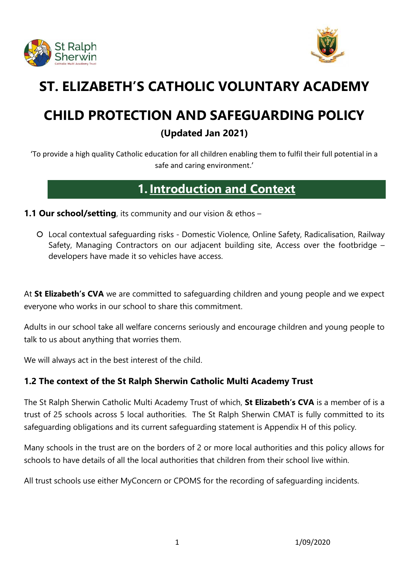



# **ST. ELIZABETH'S CATHOLIC VOLUNTARY ACADEMY**

# **CHILD PROTECTION AND SAFEGUARDING POLICY**

# **(Updated Jan 2021)**

'To provide a high quality Catholic education for all children enabling them to fulfil their full potential in a safe and caring environment.'

# **1.Introduction and Context**

**1.1 Our school/setting**, its community and our vision & ethos –

 Local contextual safeguarding risks - Domestic Violence, Online Safety, Radicalisation, Railway Safety, Managing Contractors on our adjacent building site, Access over the footbridge – developers have made it so vehicles have access.

At **St Elizabeth's CVA** we are committed to safeguarding children and young people and we expect everyone who works in our school to share this commitment.

Adults in our school take all welfare concerns seriously and encourage children and young people to talk to us about anything that worries them.

We will always act in the best interest of the child.

# **1.2 The context of the St Ralph Sherwin Catholic Multi Academy Trust**

The St Ralph Sherwin Catholic Multi Academy Trust of which, **St Elizabeth's CVA** is a member of is a trust of 25 schools across 5 local authorities. The St Ralph Sherwin CMAT is fully committed to its safeguarding obligations and its current safeguarding statement is Appendix H of this policy.

Many schools in the trust are on the borders of 2 or more local authorities and this policy allows for schools to have details of all the local authorities that children from their school live within.

All trust schools use either MyConcern or CPOMS for the recording of safeguarding incidents.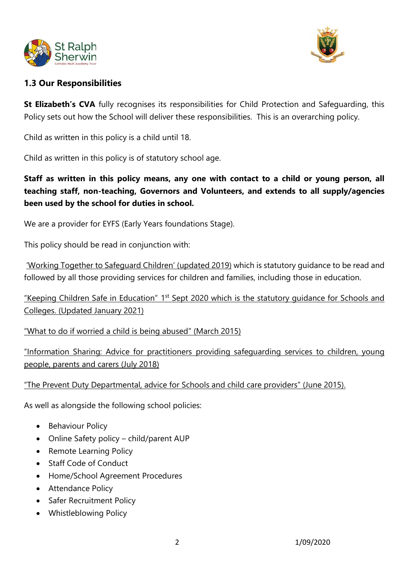



# **1.3 Our Responsibilities**

**St Elizabeth's CVA** fully recognises its responsibilities for Child Protection and Safeguarding, this Policy sets out how the School will deliver these responsibilities. This is an overarching policy.

Child as written in this policy is a child until 18.

Child as written in this policy is of statutory school age.

**Staff as written in this policy means, any one with contact to a child or young person, all teaching staff, non-teaching, Governors and Volunteers, and extends to all supply/agencies been used by the school for duties in school.** 

We are a provider for EYFS (Early Years foundations Stage).

This policy should be read in conjunction with:

['Working Together to Safeguard Children' \(](https://www.gov.uk/government/publications/working-together-to-safeguard-children--2)updated 2019) which is statutory guidance to be read and followed by all those providing services for children and families, including those in education.

["Keeping Children Safe in Education"](https://www.gov.uk/government/publications/keeping-children-safe-in-education--2) 1<sup>st</sup> Sept 2020 which is the statutory guidance for Schools and Colleges. (Updated January 2021)

["What to do if worried a child is being abused" \(March 2015\)](https://www.gov.uk/government/publications/what-to-do-if-youre-worried-a-child-is-being-abused--2)

["Information Sharing: Advice for practitioners](https://www.gov.uk/government/publications/safeguarding-practitioners-information-sharing-advice) providing safeguarding services to children, young people, parents and carers (July 2018)

#### ["The Prevent Duty](https://www.gov.uk/government/publications/protecting-children-from-radicalisation-the-prevent-duty) Departmental, advice for Schools and child care providers" (June 2015).

As well as alongside the following school policies:

- Behaviour Policy
- Online Safety policy child/parent AUP
- Remote Learning Policy
- Staff Code of Conduct
- Home/School Agreement Procedures
- Attendance Policy
- Safer Recruitment Policy
- Whistleblowing Policy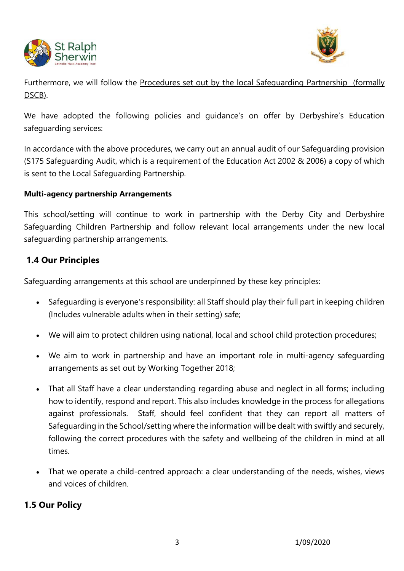



Furthermore, we will follow the [Procedures set out by the local Safeguarding Partnership](http://derbyshirescbs.proceduresonline.com/) (formally DSCB).

We have adopted the following policies and guidance's on offer by Derbyshire's Education safeguarding services:

In accordance with the above procedures, we carry out an annual audit of our Safeguarding provision (S175 Safeguarding Audit, which is a requirement of the Education Act 2002 & 2006) a copy of which is sent to the Local Safeguarding Partnership.

#### **Multi-agency partnership Arrangements**

This school/setting will continue to work in partnership with the Derby City and Derbyshire Safeguarding Children Partnership and follow relevant local arrangements under the new local safeguarding partnership arrangements.

# **1.4 Our Principles**

Safeguarding arrangements at this school are underpinned by these key principles:

- Safeguarding is everyone's responsibility: all Staff should play their full part in keeping children (Includes vulnerable adults when in their setting) safe;
- We will aim to protect children using national, local and school child protection procedures;
- We aim to work in partnership and have an important role in multi-agency safeguarding arrangements as set out by Working Together 2018;
- That all Staff have a clear understanding regarding abuse and neglect in all forms; including how to identify, respond and report. This also includes knowledge in the process for allegations against professionals. Staff, should feel confident that they can report all matters of Safeguarding in the School/setting where the information will be dealt with swiftly and securely, following the correct procedures with the safety and wellbeing of the children in mind at all times.
- That we operate a child-centred approach: a clear understanding of the needs, wishes, views and voices of children.

# **1.5 Our Policy**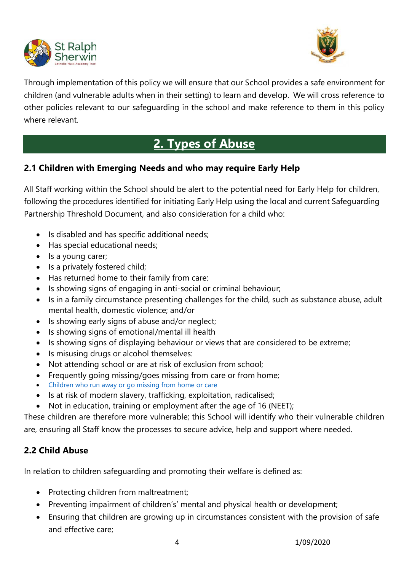



Through implementation of this policy we will ensure that our School provides a safe environment for children (and vulnerable adults when in their setting) to learn and develop. We will cross reference to other policies relevant to our safeguarding in the school and make reference to them in this policy where relevant.

# **2. Types of Abuse**

# **2.1 Children with Emerging Needs and who may require Early Help**

All Staff working within the School should be alert to the potential need for Early Help for children, following the procedures identified for initiating Early Help using the local and current Safeguarding Partnership Threshold Document, and also consideration for a child who:

- Is disabled and has specific additional needs;
- Has special educational needs;
- Is a young carer;
- Is a privately fostered child;
- Has returned home to their family from care:
- Is showing signs of engaging in anti-social or criminal behaviour;
- Is in a family circumstance presenting challenges for the child, such as substance abuse, adult mental health, domestic violence; and/or
- Is showing early signs of abuse and/or neglect;
- Is showing signs of emotional/mental ill health
- Is showing signs of displaying behaviour or views that are considered to be extreme;
- Is misusing drugs or alcohol themselves:
- Not attending school or are at risk of exclusion from school;
- Frequently going missing/goes missing from care or from home;
- [Children who run away or go missing from home or care](https://www.gov.uk/government/publications/children-who-run-away-or-go-missing-from-home-or-care)
- Is at risk of modern slavery, trafficking, exploitation, radicalised;
- Not in education, training or employment after the age of 16 (NEET);

These children are therefore more vulnerable; this School will identify who their vulnerable children are, ensuring all Staff know the processes to secure advice, help and support where needed.

# **2.2 Child Abuse**

In relation to children safeguarding and promoting their welfare is defined as:

- Protecting children from maltreatment;
- Preventing impairment of children's' mental and physical health or development;
- Ensuring that children are growing up in circumstances consistent with the provision of safe and effective care;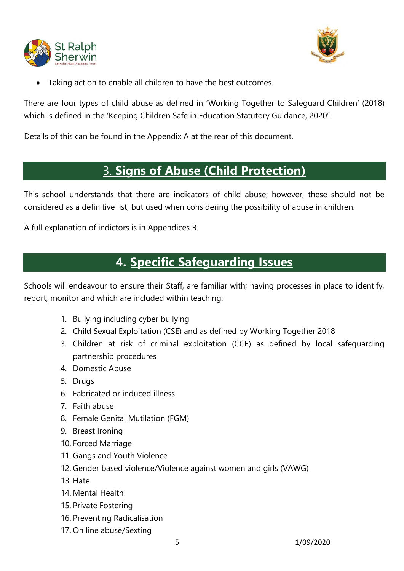



Taking action to enable all children to have the best outcomes.

There are four types of child abuse as defined in 'Working Together to Safeguard Children' (2018) which is defined in the 'Keeping Children Safe in Education Statutory Guidance, 2020".

Details of this can be found in the Appendix A at the rear of this document.

# 3. **Signs of Abuse (Child Protection)**

This school understands that there are indicators of child abuse; however, these should not be considered as a definitive list, but used when considering the possibility of abuse in children.

A full explanation of indictors is in Appendices B.

# **4. Specific Safeguarding Issues**

Schools will endeavour to ensure their Staff, are familiar with; having processes in place to identify, report, monitor and which are included within teaching:

- 1. Bullying including cyber bullying
- 2. Child Sexual Exploitation (CSE) and as defined by Working Together 2018
- 3. Children at risk of criminal exploitation (CCE) as defined by local safeguarding partnership procedures
- 4. Domestic Abuse
- 5. Drugs
- 6. Fabricated or induced illness
- 7. Faith abuse
- 8. Female Genital Mutilation (FGM)
- 9. Breast Ironing
- 10. Forced Marriage
- 11. Gangs and Youth Violence
- 12. Gender based violence/Violence against women and girls (VAWG)
- 13. Hate
- 14. Mental Health
- 15. Private Fostering
- 16. Preventing Radicalisation
- 17. On line abuse/Sexting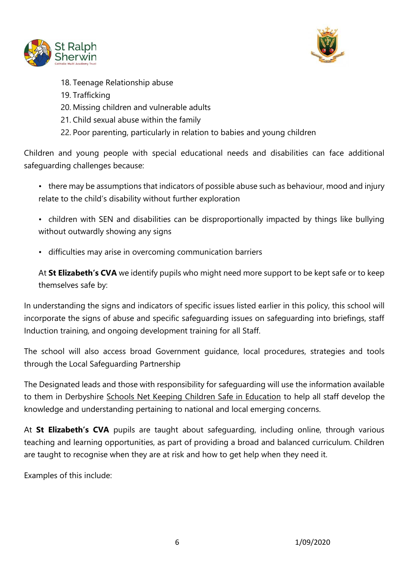



- 18. Teenage Relationship abuse
- 19. Trafficking
- 20. Missing children and vulnerable adults
- 21. Child sexual abuse within the family
- 22. Poor parenting, particularly in relation to babies and young children

Children and young people with special educational needs and disabilities can face additional safeguarding challenges because:

- there may be assumptions that indicators of possible abuse such as behaviour, mood and injury relate to the child's disability without further exploration
- children with SEN and disabilities can be disproportionally impacted by things like bullying without outwardly showing any signs
- difficulties may arise in overcoming communication barriers

At **St Elizabeth's CVA** we identify pupils who might need more support to be kept safe or to keep themselves safe by:

In understanding the signs and indicators of specific issues listed earlier in this policy, this school will incorporate the signs of abuse and specific safeguarding issues on safeguarding into briefings, staff Induction training, and ongoing development training for all Staff.

The school will also access broad Government guidance, local procedures, strategies and tools through the Local Safeguarding Partnership

The Designated leads and those with responsibility for safeguarding will use the information available to them in Derbyshire [Schools Net Keeping Children Safe in Education](https://schoolsnet.derbyshire.gov.uk/keeping-children-safe-in-education/keeping-children-safe-in-education.aspx) to help all staff develop the knowledge and understanding pertaining to national and local emerging concerns.

At **St Elizabeth's CVA** pupils are taught about safeguarding, including online, through various teaching and learning opportunities, as part of providing a broad and balanced curriculum. Children are taught to recognise when they are at risk and how to get help when they need it.

Examples of this include: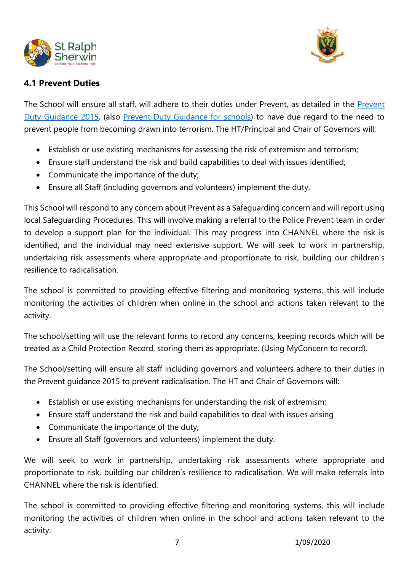



# **4.1 Prevent Duties**

The School will ensure all staff, will adhere to their duties under Prevent, as detailed in the [Prevent](https://www.gov.uk/government/publications/prevent-duty-guidance)  [Duty Guidance](https://www.gov.uk/government/publications/prevent-duty-guidance) 2015, (also [Prevent Duty Guidance for schools\)](https://www.gov.uk/government/publications/protecting-children-from-radicalisation-the-prevent-duty) to have due regard to the need to prevent people from becoming drawn into terrorism. The HT/Principal and Chair of Governors will:

- Establish or use existing mechanisms for assessing the risk of extremism and terrorism;
- Ensure staff understand the risk and build capabilities to deal with issues identified;
- Communicate the importance of the duty;
- Ensure all Staff (including governors and volunteers) implement the duty.

This School will respond to any concern about Prevent as a Safeguarding concern and will report using local Safeguarding Procedures. This will involve making a referral to the Police Prevent team in order to develop a support plan for the individual. This may progress into CHANNEL where the risk is identified, and the individual may need extensive support. We will seek to work in partnership, undertaking risk assessments where appropriate and proportionate to risk, building our children's resilience to radicalisation.

The school is committed to providing effective filtering and monitoring systems, this will include monitoring the activities of children when online in the school and actions taken relevant to the activity.

The school/setting will use the relevant forms to record any concerns, keeping records which will be treated as a Child Protection Record, storing them as appropriate. (Using MyConcern to record).

The School/setting will ensure all staff including governors and volunteers adhere to their duties in the Prevent guidance 2015 to prevent radicalisation. The HT and Chair of Governors will:

- Establish or use existing mechanisms for understanding the risk of extremism;
- Ensure staff understand the risk and build capabilities to deal with issues arising
- Communicate the importance of the duty;
- Ensure all Staff (governors and volunteers) implement the duty.

We will seek to work in partnership, undertaking risk assessments where appropriate and proportionate to risk, building our children's resilience to radicalisation. We will make referrals into CHANNEL where the risk is identified.

The school is committed to providing effective filtering and monitoring systems, this will include monitoring the activities of children when online in the school and actions taken relevant to the activity.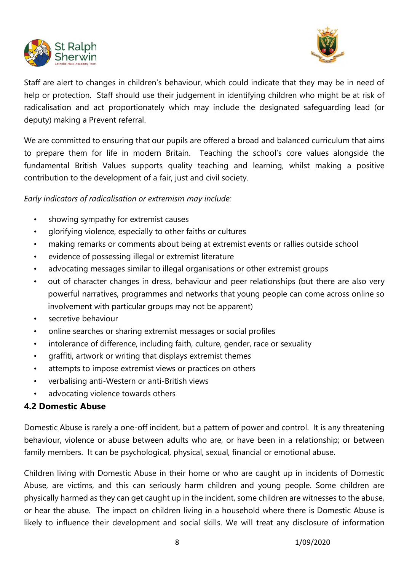



Staff are alert to changes in children's behaviour, which could indicate that they may be in need of help or protection. Staff should use their judgement in identifying children who might be at risk of radicalisation and act proportionately which may include the designated safeguarding lead (or deputy) making a Prevent referral.

We are committed to ensuring that our pupils are offered a broad and balanced curriculum that aims to prepare them for life in modern Britain. Teaching the school's core values alongside the fundamental British Values supports quality teaching and learning, whilst making a positive contribution to the development of a fair, just and civil society.

*Early indicators of radicalisation or extremism may include:*

- showing sympathy for extremist causes
- glorifying violence, especially to other faiths or cultures
- making remarks or comments about being at extremist events or rallies outside school
- evidence of possessing illegal or extremist literature
- advocating messages similar to illegal organisations or other extremist groups
- out of character changes in dress, behaviour and peer relationships (but there are also very powerful narratives, programmes and networks that young people can come across online so involvement with particular groups may not be apparent)
- secretive behaviour
- online searches or sharing extremist messages or social profiles
- intolerance of difference, including faith, culture, gender, race or sexuality
- graffiti, artwork or writing that displays extremist themes
- attempts to impose extremist views or practices on others
- verbalising anti-Western or anti-British views
- advocating violence towards others

# **4.2 Domestic Abuse**

Domestic Abuse is rarely a one-off incident, but a pattern of power and control. It is any threatening behaviour, violence or abuse between adults who are, or have been in a relationship; or between family members. It can be psychological, physical, sexual, financial or emotional abuse.

Children living with Domestic Abuse in their home or who are caught up in incidents of Domestic Abuse, are victims, and this can seriously harm children and young people. Some children are physically harmed as they can get caught up in the incident, some children are witnesses to the abuse, or hear the abuse. The impact on children living in a household where there is Domestic Abuse is likely to influence their development and social skills. We will treat any disclosure of information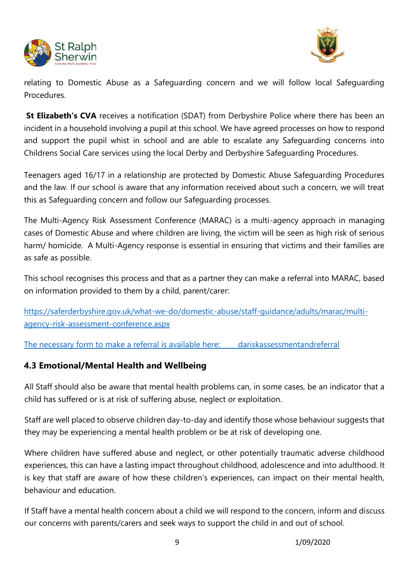



relating to Domestic Abuse as a Safeguarding concern and we will follow local Safeguarding Procedures.

**St Elizabeth's CVA** receives a notification (SDAT) from Derbyshire Police where there has been an incident in a household involving a pupil at this school. We have agreed processes on how to respond and support the pupil whist in school and are able to escalate any Safeguarding concerns into Childrens Social Care services using the local Derby and Derbyshire Safeguarding Procedures.

Teenagers aged 16/17 in a relationship are protected by Domestic Abuse Safeguarding Procedures and the law. If our school is aware that any information received about such a concern, we will treat this as Safeguarding concern and follow our Safeguarding processes.

The Multi-Agency Risk Assessment Conference (MARAC) is a multi-agency approach in managing cases of Domestic Abuse and where children are living, the victim will be seen as high risk of serious harm/ homicide. A Multi-Agency response is essential in ensuring that victims and their families are as safe as possible.

This school recognises this process and that as a partner they can make a referral into MARAC, based on information provided to them by a child, parent/carer:

[https://saferderbyshire.gov.uk/what-we-do/domestic-abuse/staff-guidance/adults/marac/multi](https://saferderbyshire.gov.uk/what-we-do/domestic-abuse/staff-guidance/adults/marac/multi-agency-risk-assessment-conference.aspx)[agency-risk-assessment-conference.aspx](https://saferderbyshire.gov.uk/what-we-do/domestic-abuse/staff-guidance/adults/marac/multi-agency-risk-assessment-conference.aspx)

The necessary form to make a referral is available here: [dariskassessmentandreferral](https://www.saferderbyshire.gov.uk/dariskassessmentandreferral)

# **4.3 Emotional/Mental Health and Wellbeing**

All Staff should also be aware that mental health problems can, in some cases, be an indicator that a child has suffered or is at risk of suffering abuse, neglect or exploitation.

Staff are well placed to observe children day-to-day and identify those whose behaviour suggests that they may be experiencing a mental health problem or be at risk of developing one.

Where children have suffered abuse and neglect, or other potentially traumatic adverse childhood experiences, this can have a lasting impact throughout childhood, adolescence and into adulthood. It is key that staff are aware of how these children's experiences, can impact on their mental health, behaviour and education.

If Staff have a mental health concern about a child we will respond to the concern, inform and discuss our concerns with parents/carers and seek ways to support the child in and out of school.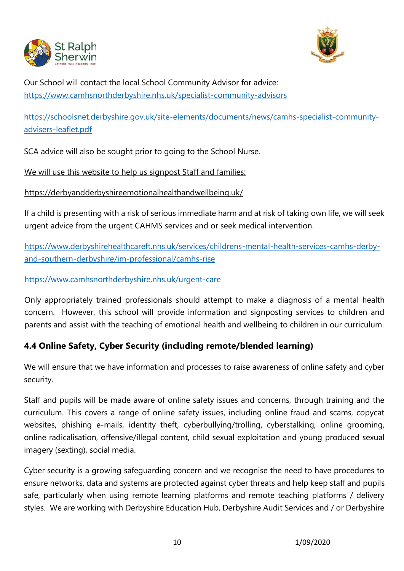



Our School will contact the local School Community Advisor for advice: <https://www.camhsnorthderbyshire.nhs.uk/specialist-community-advisors>

[https://schoolsnet.derbyshire.gov.uk/site-elements/documents/news/camhs-specialist-community](https://schoolsnet.derbyshire.gov.uk/site-elements/documents/news/camhs-specialist-community-advisers-leaflet.pdf)[advisers-leaflet.pdf](https://schoolsnet.derbyshire.gov.uk/site-elements/documents/news/camhs-specialist-community-advisers-leaflet.pdf)

SCA advice will also be sought prior to going to the School Nurse.

We will use this website to help us signpost Staff and families:

<https://derbyandderbyshireemotionalhealthandwellbeing.uk/>

If a child is presenting with a risk of serious immediate harm and at risk of taking own life, we will seek urgent advice from the urgent CAHMS services and or seek medical intervention.

[https://www.derbyshirehealthcareft.nhs.uk/services/childrens-mental-health-services-camhs-derby](https://www.derbyshirehealthcareft.nhs.uk/services/childrens-mental-health-services-camhs-derby-and-southern-derbyshire/im-professional/camhs-rise)[and-southern-derbyshire/im-professional/camhs-rise](https://www.derbyshirehealthcareft.nhs.uk/services/childrens-mental-health-services-camhs-derby-and-southern-derbyshire/im-professional/camhs-rise)

<https://www.camhsnorthderbyshire.nhs.uk/urgent-care>

Only appropriately trained professionals should attempt to make a diagnosis of a mental health concern. However, this school will provide information and signposting services to children and parents and assist with the teaching of emotional health and wellbeing to children in our curriculum.

# **4.4 Online Safety, Cyber Security (including remote/blended learning)**

We will ensure that we have information and processes to raise awareness of online safety and cyber security.

Staff and pupils will be made aware of online safety issues and concerns, through training and the curriculum. This covers a range of online safety issues, including online fraud and scams, copycat websites, phishing e-mails, identity theft, cyberbullying/trolling, cyberstalking, online grooming, online radicalisation, offensive/illegal content, child sexual exploitation and young produced sexual imagery (sexting), social media.

Cyber security is a growing safeguarding concern and we recognise the need to have procedures to ensure networks, data and systems are protected against cyber threats and help keep staff and pupils safe, particularly when using remote learning platforms and remote teaching platforms / delivery styles. We are working with Derbyshire Education Hub, Derbyshire Audit Services and / or Derbyshire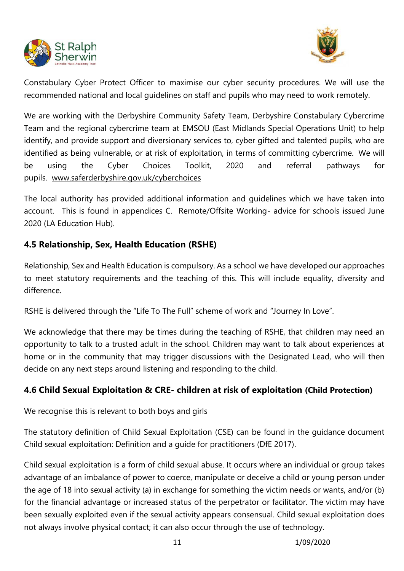



Constabulary Cyber Protect Officer to maximise our cyber security procedures. We will use the recommended national and local guidelines on staff and pupils who may need to work remotely.

We are working with the Derbyshire Community Safety Team, Derbyshire Constabulary Cybercrime Team and the regional cybercrime team at EMSOU (East Midlands Special Operations Unit) to help identify, and provide support and diversionary services to, cyber gifted and talented pupils, who are identified as being vulnerable, or at risk of exploitation, in terms of committing cybercrime. We will be using the Cyber Choices Toolkit, 2020 and referral pathways for pupils. [www.saferderbyshire.gov.uk/cyberchoices](http://www.saferderbyshire.gov.uk/cyberchoices)

The local authority has provided additional information and guidelines which we have taken into account. This is found in appendices C. Remote/Offsite Working- advice for schools issued June 2020 (LA Education Hub).

# **4.5 Relationship, Sex, Health Education (RSHE)**

Relationship, Sex and Health Education is compulsory. As a school we have developed our approaches to meet statutory requirements and the teaching of this. This will include equality, diversity and difference.

RSHE is delivered through the "Life To The Full" scheme of work and "Journey In Love".

We acknowledge that there may be times during the teaching of RSHE, that children may need an opportunity to talk to a trusted adult in the school. Children may want to talk about experiences at home or in the community that may trigger discussions with the Designated Lead, who will then decide on any next steps around listening and responding to the child.

# **4.6 Child Sexual Exploitation & CRE- children at risk of exploitation (Child Protection)**

We recognise this is relevant to both boys and girls

The statutory definition of Child Sexual Exploitation (CSE) can be found in the guidance document Child sexual exploitation: Definition and a guide for practitioners (DfE 2017).

Child sexual exploitation is a form of child sexual abuse. It occurs where an individual or group takes advantage of an imbalance of power to coerce, manipulate or deceive a child or young person under the age of 18 into sexual activity (a) in exchange for something the victim needs or wants, and/or (b) for the financial advantage or increased status of the perpetrator or facilitator. The victim may have been sexually exploited even if the sexual activity appears consensual. Child sexual exploitation does not always involve physical contact; it can also occur through the use of technology.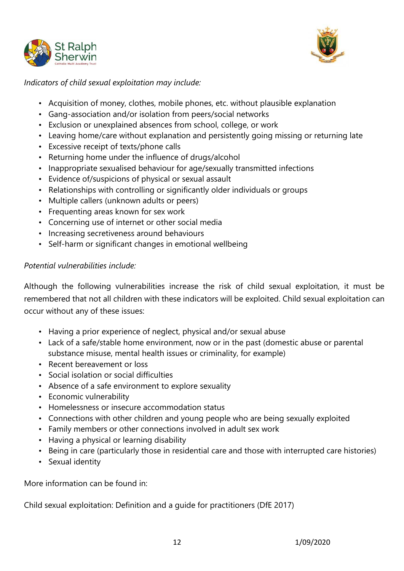



*Indicators of child sexual exploitation may include:*

- Acquisition of money, clothes, mobile phones, etc. without plausible explanation
- Gang-association and/or isolation from peers/social networks
- Exclusion or unexplained absences from school, college, or work
- Leaving home/care without explanation and persistently going missing or returning late
- Excessive receipt of texts/phone calls
- Returning home under the influence of drugs/alcohol
- Inappropriate sexualised behaviour for age/sexually transmitted infections
- Evidence of/suspicions of physical or sexual assault
- Relationships with controlling or significantly older individuals or groups
- Multiple callers (unknown adults or peers)
- Frequenting areas known for sex work
- Concerning use of internet or other social media
- Increasing secretiveness around behaviours
- Self-harm or significant changes in emotional wellbeing

# *Potential vulnerabilities include:*

Although the following vulnerabilities increase the risk of child sexual exploitation, it must be remembered that not all children with these indicators will be exploited. Child sexual exploitation can occur without any of these issues:

- Having a prior experience of neglect, physical and/or sexual abuse
- Lack of a safe/stable home environment, now or in the past (domestic abuse or parental substance misuse, mental health issues or criminality, for example)
- Recent bereavement or loss
- Social isolation or social difficulties
- Absence of a safe environment to explore sexuality
- Economic vulnerability
- Homelessness or insecure accommodation status
- Connections with other children and young people who are being sexually exploited
- Family members or other connections involved in adult sex work
- Having a physical or learning disability
- Being in care (particularly those in residential care and those with interrupted care histories)
- Sexual identity

More information can be found in:

Child sexual exploitation: Definition and a guide for practitioners (DfE 2017)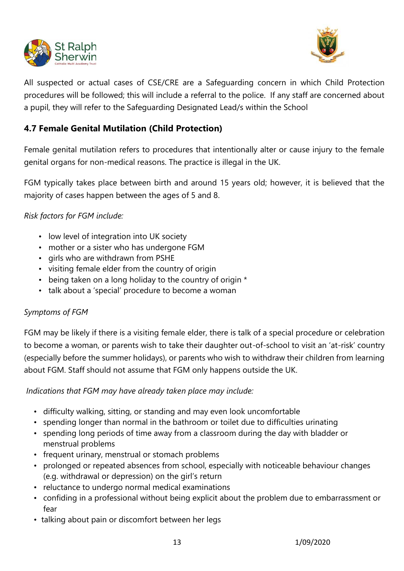



All suspected or actual cases of CSE/CRE are a Safeguarding concern in which Child Protection procedures will be followed; this will include a referral to the police. If any staff are concerned about a pupil, they will refer to the Safeguarding Designated Lead/s within the School

# **4.7 Female Genital Mutilation (Child Protection)**

Female genital mutilation refers to procedures that intentionally alter or cause injury to the female genital organs for non-medical reasons. The practice is illegal in the UK.

FGM typically takes place between birth and around 15 years old; however, it is believed that the majority of cases happen between the ages of 5 and 8.

### *Risk factors for FGM include:*

- low level of integration into UK society
- mother or a sister who has undergone FGM
- girls who are withdrawn from PSHE
- visiting female elder from the country of origin
- being taken on a long holiday to the country of origin \*
- talk about a 'special' procedure to become a woman

#### *Symptoms of FGM*

FGM may be likely if there is a visiting female elder, there is talk of a special procedure or celebration to become a woman, or parents wish to take their daughter out-of-school to visit an 'at-risk' country (especially before the summer holidays), or parents who wish to withdraw their children from learning about FGM. Staff should not assume that FGM only happens outside the UK.

*Indications that FGM may have already taken place may include:*

- difficulty walking, sitting, or standing and may even look uncomfortable
- spending longer than normal in the bathroom or toilet due to difficulties urinating
- spending long periods of time away from a classroom during the day with bladder or menstrual problems
- frequent urinary, menstrual or stomach problems
- prolonged or repeated absences from school, especially with noticeable behaviour changes (e.g. withdrawal or depression) on the girl's return
- reluctance to undergo normal medical examinations
- confiding in a professional without being explicit about the problem due to embarrassment or fear
- talking about pain or discomfort between her legs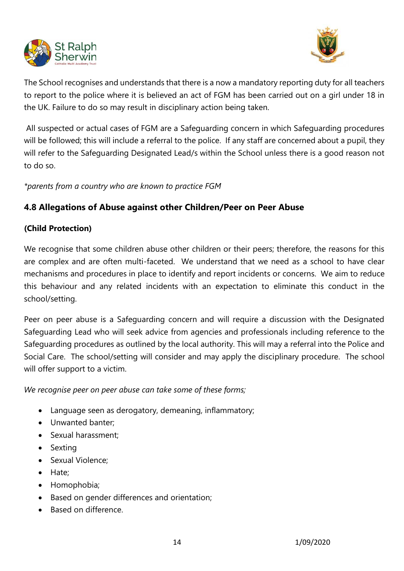



The School recognises and understands that there is a now a mandatory reporting duty for all teachers to report to the police where it is believed an act of FGM has been carried out on a girl under 18 in the UK. Failure to do so may result in disciplinary action being taken.

All suspected or actual cases of FGM are a Safeguarding concern in which Safeguarding procedures will be followed; this will include a referral to the police. If any staff are concerned about a pupil, they will refer to the Safeguarding Designated Lead/s within the School unless there is a good reason not to do so.

*\*parents from a country who are known to practice FGM*

# **4.8 Allegations of Abuse against other Children/Peer on Peer Abuse**

# **(Child Protection)**

We recognise that some children abuse other children or their peers; therefore, the reasons for this are complex and are often multi-faceted. We understand that we need as a school to have clear mechanisms and procedures in place to identify and report incidents or concerns. We aim to reduce this behaviour and any related incidents with an expectation to eliminate this conduct in the school/setting.

Peer on peer abuse is a Safeguarding concern and will require a discussion with the Designated Safeguarding Lead who will seek advice from agencies and professionals including reference to the Safeguarding procedures as outlined by the local authority. This will may a referral into the Police and Social Care. The school/setting will consider and may apply the disciplinary procedure. The school will offer support to a victim.

*We recognise peer on peer abuse can take some of these forms;*

- Language seen as derogatory, demeaning, inflammatory;
- Unwanted banter;
- Sexual harassment;
- Sexting
- Sexual Violence;
- Hate;
- Homophobia;
- Based on gender differences and orientation;
- Based on difference.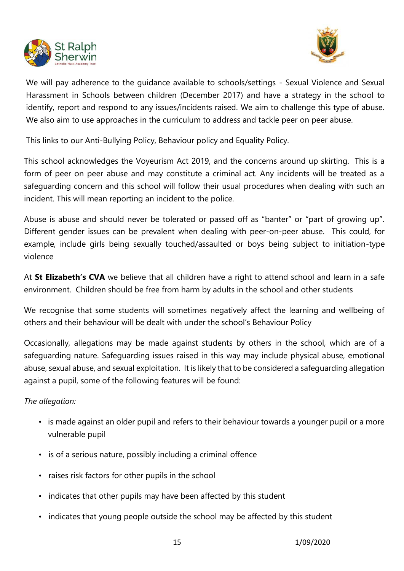



We will pay adherence to the guidance available to schools/settings - Sexual Violence and Sexual Harassment in Schools between children (December 2017) and have a strategy in the school to identify, report and respond to any issues/incidents raised. We aim to challenge this type of abuse. We also aim to use approaches in the curriculum to address and tackle peer on peer abuse.

This links to our Anti-Bullying Policy, Behaviour policy and Equality Policy.

This school acknowledges the Voyeurism Act 2019, and the concerns around up skirting. This is a form of peer on peer abuse and may constitute a criminal act. Any incidents will be treated as a safeguarding concern and this school will follow their usual procedures when dealing with such an incident. This will mean reporting an incident to the police.

Abuse is abuse and should never be tolerated or passed off as "banter" or "part of growing up". Different gender issues can be prevalent when dealing with peer-on-peer abuse. This could, for example, include girls being sexually touched/assaulted or boys being subject to initiation-type violence

At **St Elizabeth's CVA** we believe that all children have a right to attend school and learn in a safe environment. Children should be free from harm by adults in the school and other students

We recognise that some students will sometimes negatively affect the learning and wellbeing of others and their behaviour will be dealt with under the school's Behaviour Policy

Occasionally, allegations may be made against students by others in the school, which are of a safeguarding nature. Safeguarding issues raised in this way may include physical abuse, emotional abuse, sexual abuse, and sexual exploitation. It is likely that to be considered a safeguarding allegation against a pupil, some of the following features will be found:

#### *The allegation:*

- is made against an older pupil and refers to their behaviour towards a younger pupil or a more vulnerable pupil
- is of a serious nature, possibly including a criminal offence
- raises risk factors for other pupils in the school
- indicates that other pupils may have been affected by this student
- indicates that young people outside the school may be affected by this student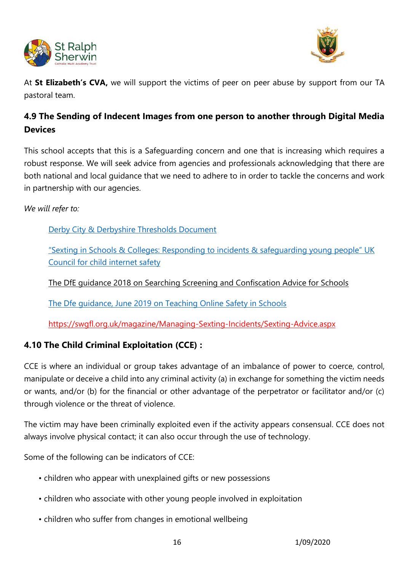



At **St Elizabeth's CVA,** we will support the victims of peer on peer abuse by support from our TA pastoral team.

# **4.9 The Sending of Indecent Images from one person to another through Digital Media Devices**

This school accepts that this is a Safeguarding concern and one that is increasing which requires a robust response. We will seek advice from agencies and professionals acknowledging that there are both national and local guidance that we need to adhere to in order to tackle the concerns and work in partnership with our agencies.

*We will refer to:* 

[Derby City & Derbyshire Thresholds Document](http://www.proceduresonline.com/derbyshire/scbs/user_controlled_lcms_area/uploaded_files/DSCB-Thresholds.pdf)

["Sexting in Schools & Colleges: Responding to incidents & safeguarding young people" UK](https://www.gov.uk/government/uploads/system/uploads/attachment_data/file/609874/6_2939_SP_NCA_Sexting_In_Schools_FINAL_Update_Jan17.pdf)  [Council for child internet safety](https://www.gov.uk/government/uploads/system/uploads/attachment_data/file/609874/6_2939_SP_NCA_Sexting_In_Schools_FINAL_Update_Jan17.pdf) 

[The DfE guidance 2018 on Searching Screening and Confiscation Advice for Schools](https://www.gov.uk/government/publications/searching-screening-and-confiscation)

[The Dfe guidance, June 2019 on Teaching Online Safety in Schools](https://www.gov.uk/government/publications/teaching-online-safety-in-schools)

https://swgfl.org.uk/magazine/Managing-Sexting-Incidents/Sexting-Advice.aspx

# **4.10 The Child Criminal Exploitation (CCE) :**

CCE is where an individual or group takes advantage of an imbalance of power to coerce, control, manipulate or deceive a child into any criminal activity (a) in exchange for something the victim needs or wants, and/or (b) for the financial or other advantage of the perpetrator or facilitator and/or (c) through violence or the threat of violence.

The victim may have been criminally exploited even if the activity appears consensual. CCE does not always involve physical contact; it can also occur through the use of technology.

Some of the following can be indicators of CCE:

- children who appear with unexplained gifts or new possessions
- children who associate with other young people involved in exploitation
- children who suffer from changes in emotional wellbeing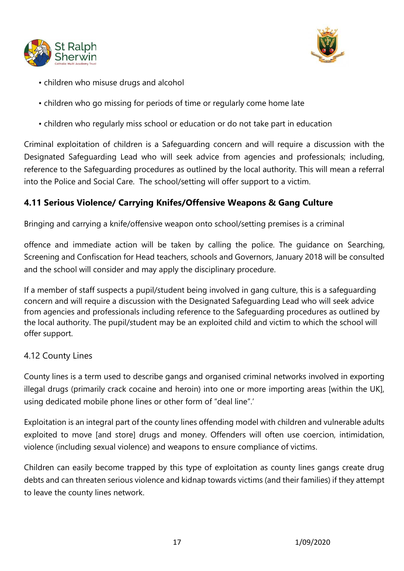



- children who misuse drugs and alcohol
- children who go missing for periods of time or regularly come home late
- children who regularly miss school or education or do not take part in education

Criminal exploitation of children is a Safeguarding concern and will require a discussion with the Designated Safeguarding Lead who will seek advice from agencies and professionals; including, reference to the Safeguarding procedures as outlined by the local authority. This will mean a referral into the Police and Social Care. The school/setting will offer support to a victim.

# **4.11 Serious Violence/ Carrying Knifes/Offensive Weapons & Gang Culture**

Bringing and carrying a knife/offensive weapon onto school/setting premises is a criminal

offence and immediate action will be taken by calling the police. The guidance on Searching, Screening and Confiscation for Head teachers, schools and Governors, January 2018 will be consulted and the school will consider and may apply the disciplinary procedure.

If a member of staff suspects a pupil/student being involved in gang culture, this is a safeguarding concern and will require a discussion with the Designated Safeguarding Lead who will seek advice from agencies and professionals including reference to the Safeguarding procedures as outlined by the local authority. The pupil/student may be an exploited child and victim to which the school will offer support.

# 4.12 County Lines

County lines is a term used to describe gangs and organised criminal networks involved in exporting illegal drugs (primarily crack cocaine and heroin) into one or more importing areas [within the UK], using dedicated mobile phone lines or other form of "deal line".'

Exploitation is an integral part of the county lines offending model with children and vulnerable adults exploited to move [and store] drugs and money. Offenders will often use coercion, intimidation, violence (including sexual violence) and weapons to ensure compliance of victims.

Children can easily become trapped by this type of exploitation as county lines gangs create drug debts and can threaten serious violence and kidnap towards victims (and their families) if they attempt to leave the county lines network.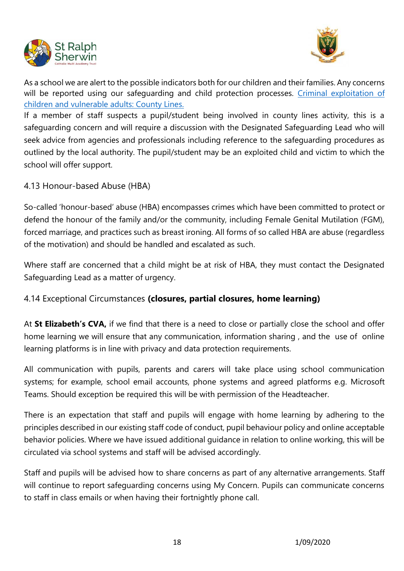



As a school we are alert to the possible indicators both for our children and their families. Any concerns will be reported using our safequarding and child protection processes. Criminal exploitation of [children and vulnerable adults: County Lines.](https://www.gov.uk/government/uploads/system/uploads/attachment_data/file/626770/6_3505_HO_Child_exploitation_FINAL_web__2_.pdf)

If a member of staff suspects a pupil/student being involved in county lines activity, this is a safeguarding concern and will require a discussion with the Designated Safeguarding Lead who will seek advice from agencies and professionals including reference to the safeguarding procedures as outlined by the local authority. The pupil/student may be an exploited child and victim to which the school will offer support.

4.13 Honour-based Abuse (HBA)

So-called 'honour-based' abuse (HBA) encompasses crimes which have been committed to protect or defend the honour of the family and/or the community, including Female Genital Mutilation (FGM), forced marriage, and practices such as breast ironing. All forms of so called HBA are abuse (regardless of the motivation) and should be handled and escalated as such.

Where staff are concerned that a child might be at risk of HBA, they must contact the Designated Safeguarding Lead as a matter of urgency.

# 4.14 Exceptional Circumstances **(closures, partial closures, home learning)**

At **St Elizabeth's CVA,** if we find that there is a need to close or partially close the school and offer home learning we will ensure that any communication, information sharing , and the use of online learning platforms is in line with privacy and data protection requirements.

All communication with pupils, parents and carers will take place using school communication systems; for example, school email accounts, phone systems and agreed platforms e.g. Microsoft Teams. Should exception be required this will be with permission of the Headteacher.

There is an expectation that staff and pupils will engage with home learning by adhering to the principles described in our existing staff code of conduct, pupil behaviour policy and online acceptable behavior policies. Where we have issued additional guidance in relation to online working, this will be circulated via school systems and staff will be advised accordingly.

Staff and pupils will be advised how to share concerns as part of any alternative arrangements. Staff will continue to report safeguarding concerns using My Concern. Pupils can communicate concerns to staff in class emails or when having their fortnightly phone call.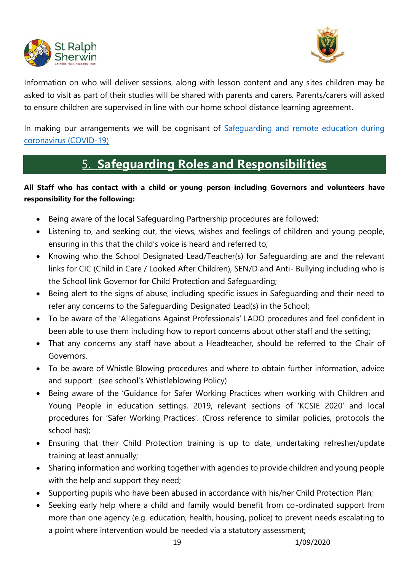



Information on who will deliver sessions, along with lesson content and any sites children may be asked to visit as part of their studies will be shared with parents and carers. Parents/carers will asked to ensure children are supervised in line with our home school distance learning agreement.

In making our arrangements we will be cognisant of Safequarding and remote education during [coronavirus \(COVID-19\)](https://www.gov.uk/guidance/safeguarding-and-remote-education-during-coronavirus-covid-19)

# 5. **Safeguarding Roles and Responsibilities**

# **All Staff who has contact with a child or young person including Governors and volunteers have responsibility for the following:**

- Being aware of the local Safeguarding Partnership procedures are followed;
- Listening to, and seeking out, the views, wishes and feelings of children and young people, ensuring in this that the child's voice is heard and referred to;
- Knowing who the School Designated Lead/Teacher(s) for Safeguarding are and the relevant links for CIC (Child in Care / Looked After Children), SEN/D and Anti- Bullying including who is the School link Governor for Child Protection and Safeguarding;
- Being alert to the signs of abuse, including specific issues in Safeguarding and their need to refer any concerns to the Safeguarding Designated Lead(s) in the School;
- To be aware of the 'Allegations Against Professionals' LADO procedures and feel confident in been able to use them including how to report concerns about other staff and the setting;
- That any concerns any staff have about a Headteacher, should be referred to the Chair of Governors.
- To be aware of Whistle Blowing procedures and where to obtain further information, advice and support. (see school's Whistleblowing Policy)
- Being aware of the 'Guidance for Safer Working Practices when working with Children and Young People in education settings, 2019, relevant sections of 'KCSIE 2020' and local procedures for 'Safer Working Practices'. (Cross reference to similar policies, protocols the school has);
- Ensuring that their Child Protection training is up to date, undertaking refresher/update training at least annually;
- Sharing information and working together with agencies to provide children and young people with the help and support they need;
- Supporting pupils who have been abused in accordance with his/her Child Protection Plan;
- Seeking early help where a child and family would benefit from co-ordinated support from more than one agency (e.g. education, health, housing, police) to prevent needs escalating to a point where intervention would be needed via a statutory assessment;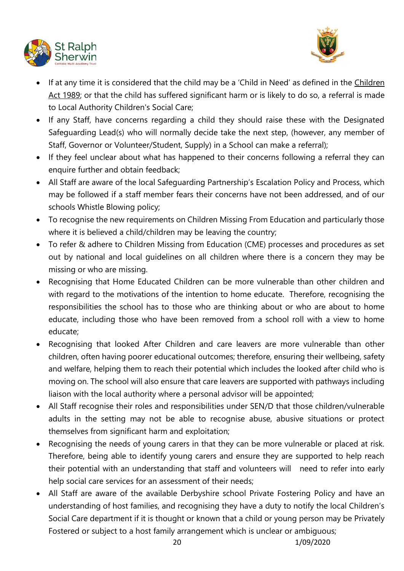



- If at any time it is considered that the child may be a 'Child in Need' as defined in the [Children](http://www.legislation.gov.uk/ukpga/1989/41/contents)  [Act 1989;](http://www.legislation.gov.uk/ukpga/1989/41/contents) or that the child has suffered significant harm or is likely to do so, a referral is made to Local Authority Children's Social Care;
- If any Staff, have concerns regarding a child they should raise these with the Designated Safeguarding Lead(s) who will normally decide take the next step, (however, any member of Staff, Governor or Volunteer/Student, Supply) in a School can make a referral);
- If they feel unclear about what has happened to their concerns following a referral they can enquire further and obtain feedback;
- All Staff are aware of the local Safeguarding Partnership's Escalation Policy and Process, which may be followed if a staff member fears their concerns have not been addressed, and of our schools Whistle Blowing policy;
- To recognise the new requirements on Children Missing From Education and particularly those where it is believed a child/children may be leaving the country;
- To refer & adhere to Children Missing from Education (CME) processes and procedures as set out by national and local guidelines on all children where there is a concern they may be missing or who are missing.
- Recognising that Home Educated Children can be more vulnerable than other children and with regard to the motivations of the intention to home educate. Therefore, recognising the responsibilities the school has to those who are thinking about or who are about to home educate, including those who have been removed from a school roll with a view to home educate;
- Recognising that looked After Children and care leavers are more vulnerable than other children, often having poorer educational outcomes; therefore, ensuring their wellbeing, safety and welfare, helping them to reach their potential which includes the looked after child who is moving on. The school will also ensure that care leavers are supported with pathways including liaison with the local authority where a personal advisor will be appointed;
- All Staff recognise their roles and responsibilities under SEN/D that those children/vulnerable adults in the setting may not be able to recognise abuse, abusive situations or protect themselves from significant harm and exploitation;
- Recognising the needs of young carers in that they can be more vulnerable or placed at risk. Therefore, being able to identify young carers and ensure they are supported to help reach their potential with an understanding that staff and volunteers will need to refer into early help social care services for an assessment of their needs;
- All Staff are aware of the available Derbyshire school Private Fostering Policy and have an understanding of host families, and recognising they have a duty to notify the local Children's Social Care department if it is thought or known that a child or young person may be Privately Fostered or subject to a host family arrangement which is unclear or ambiguous;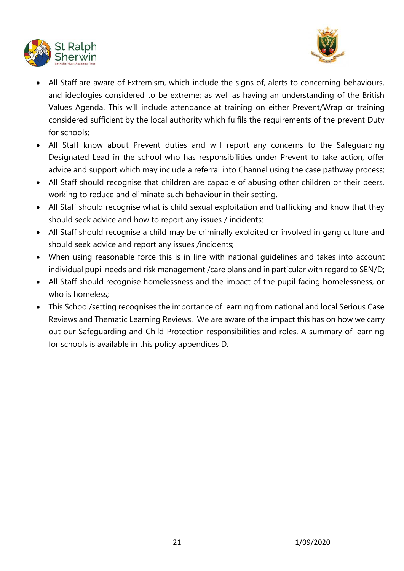



- All Staff are aware of Extremism, which include the signs of, alerts to concerning behaviours, and ideologies considered to be extreme; as well as having an understanding of the British Values Agenda. This will include attendance at training on either Prevent/Wrap or training considered sufficient by the local authority which fulfils the requirements of the prevent Duty for schools;
- All Staff know about Prevent duties and will report any concerns to the Safeguarding Designated Lead in the school who has responsibilities under Prevent to take action, offer advice and support which may include a referral into Channel using the case pathway process;
- All Staff should recognise that children are capable of abusing other children or their peers, working to reduce and eliminate such behaviour in their setting.
- All Staff should recognise what is child sexual exploitation and trafficking and know that they should seek advice and how to report any issues / incidents:
- All Staff should recognise a child may be criminally exploited or involved in gang culture and should seek advice and report any issues /incidents;
- When using reasonable force this is in line with national guidelines and takes into account individual pupil needs and risk management /care plans and in particular with regard to SEN/D;
- All Staff should recognise homelessness and the impact of the pupil facing homelessness, or who is homeless:
- This School/setting recognises the importance of learning from national and local Serious Case Reviews and Thematic Learning Reviews. We are aware of the impact this has on how we carry out our Safeguarding and Child Protection responsibilities and roles. A summary of learning for schools is available in this policy appendices D.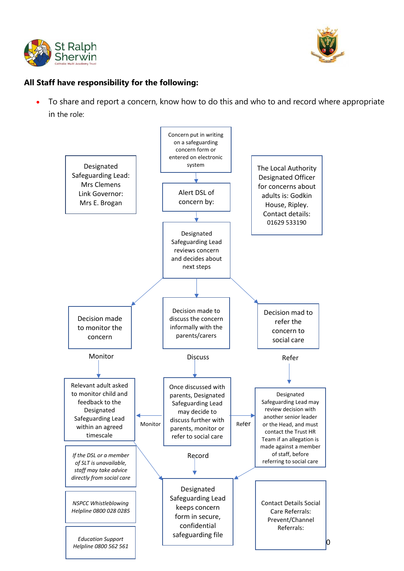



### **All Staff have responsibility for the following:**

• To share and report a concern, know how to do this and who to and record where appropriate in the role:

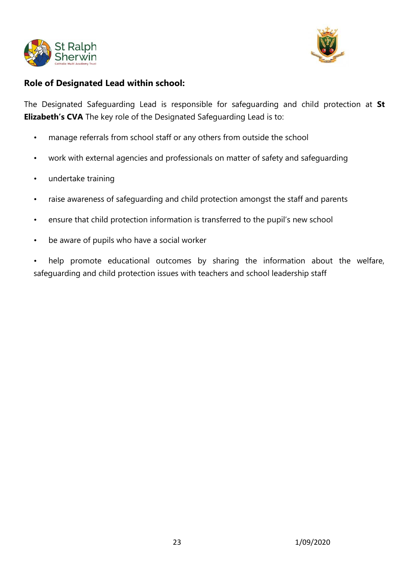



# **Role of Designated Lead within school:**

The Designated Safeguarding Lead is responsible for safeguarding and child protection at **St Elizabeth's CVA** The key role of the Designated Safeguarding Lead is to:

- manage referrals from school staff or any others from outside the school
- work with external agencies and professionals on matter of safety and safeguarding
- undertake training
- raise awareness of safeguarding and child protection amongst the staff and parents
- ensure that child protection information is transferred to the pupil's new school
- be aware of pupils who have a social worker

help promote educational outcomes by sharing the information about the welfare, safeguarding and child protection issues with teachers and school leadership staff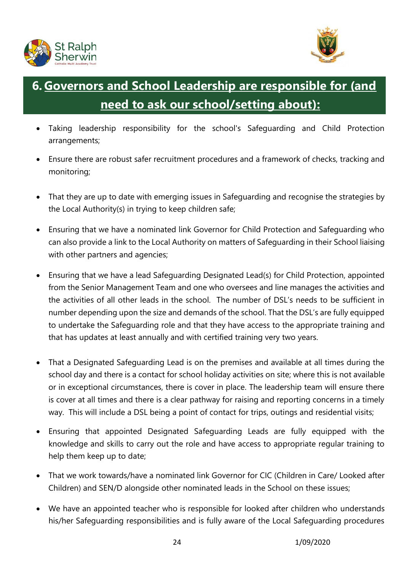



# **6. Governors and School Leadership are responsible for (and need to ask our school/setting about):**

- Taking leadership responsibility for the school's Safeguarding and Child Protection arrangements;
- Ensure there are robust safer recruitment procedures and a framework of checks, tracking and monitoring;
- That they are up to date with emerging issues in Safeguarding and recognise the strategies by the Local Authority(s) in trying to keep children safe;
- Ensuring that we have a nominated link Governor for Child Protection and Safeguarding who can also provide a link to the Local Authority on matters of Safeguarding in their School liaising with other partners and agencies;
- Ensuring that we have a lead Safeguarding Designated Lead(s) for Child Protection, appointed from the Senior Management Team and one who oversees and line manages the activities and the activities of all other leads in the school. The number of DSL's needs to be sufficient in number depending upon the size and demands of the school. That the DSL's are fully equipped to undertake the Safeguarding role and that they have access to the appropriate training and that has updates at least annually and with certified training very two years.
- That a Designated Safeguarding Lead is on the premises and available at all times during the school day and there is a contact for school holiday activities on site; where this is not available or in exceptional circumstances, there is cover in place. The leadership team will ensure there is cover at all times and there is a clear pathway for raising and reporting concerns in a timely way. This will include a DSL being a point of contact for trips, outings and residential visits;
- Ensuring that appointed Designated Safeguarding Leads are fully equipped with the knowledge and skills to carry out the role and have access to appropriate regular training to help them keep up to date;
- That we work towards/have a nominated link Governor for CIC (Children in Care/ Looked after Children) and SEN/D alongside other nominated leads in the School on these issues;
- We have an appointed teacher who is responsible for looked after children who understands his/her Safeguarding responsibilities and is fully aware of the Local Safeguarding procedures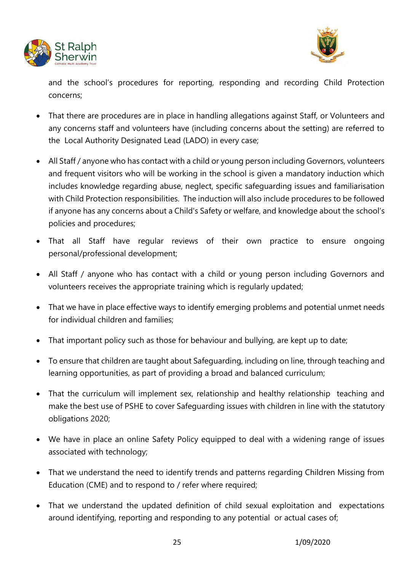



and the school's procedures for reporting, responding and recording Child Protection concerns;

- That there are procedures are in place in handling allegations against Staff, or Volunteers and any concerns staff and volunteers have (including concerns about the setting) are referred to the Local Authority Designated Lead (LADO) in every case;
- All Staff / anyone who has contact with a child or young person including Governors, volunteers and frequent visitors who will be working in the school is given a mandatory induction which includes knowledge regarding abuse, neglect, specific safeguarding issues and familiarisation with Child Protection responsibilities. The induction will also include procedures to be followed if anyone has any concerns about a Child's Safety or welfare, and knowledge about the school's policies and procedures;
- That all Staff have regular reviews of their own practice to ensure ongoing personal/professional development;
- All Staff / anyone who has contact with a child or young person including Governors and volunteers receives the appropriate training which is regularly updated;
- That we have in place effective ways to identify emerging problems and potential unmet needs for individual children and families;
- That important policy such as those for behaviour and bullying, are kept up to date;
- To ensure that children are taught about Safeguarding, including on line, through teaching and learning opportunities, as part of providing a broad and balanced curriculum;
- That the curriculum will implement sex, relationship and healthy relationship teaching and make the best use of PSHE to cover Safeguarding issues with children in line with the statutory obligations 2020;
- We have in place an online Safety Policy equipped to deal with a widening range of issues associated with technology;
- That we understand the need to identify trends and patterns regarding Children Missing from Education (CME) and to respond to / refer where required;
- That we understand the updated definition of child sexual exploitation and expectations around identifying, reporting and responding to any potential or actual cases of;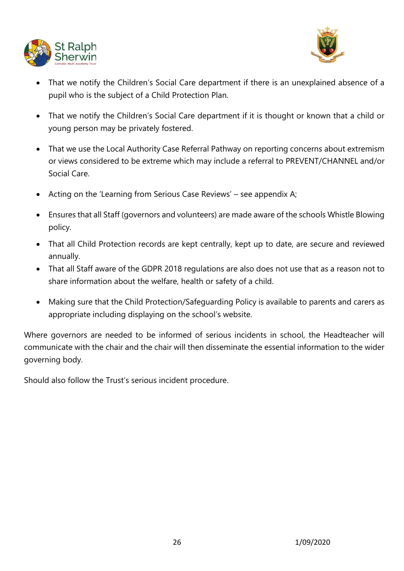



- That we notify the Children's Social Care department if there is an unexplained absence of a pupil who is the subject of a Child Protection Plan.
- That we notify the Children's Social Care department if it is thought or known that a child or young person may be privately fostered.
- That we use the Local Authority Case Referral Pathway on reporting concerns about extremism or views considered to be extreme which may include a referral to PREVENT/CHANNEL and/or Social Care.
- Acting on the 'Learning from Serious Case Reviews' see appendix A;
- Ensures that all Staff (governors and volunteers) are made aware of the schools Whistle Blowing policy.
- That all Child Protection records are kept centrally, kept up to date, are secure and reviewed annually.
- That all Staff aware of the GDPR 2018 regulations are also does not use that as a reason not to share information about the welfare, health or safety of a child.
- Making sure that the Child Protection/Safeguarding Policy is available to parents and carers as appropriate including displaying on the school's website.

Where governors are needed to be informed of serious incidents in school, the Headteacher will communicate with the chair and the chair will then disseminate the essential information to the wider governing body.

Should also follow the Trust's serious incident procedure.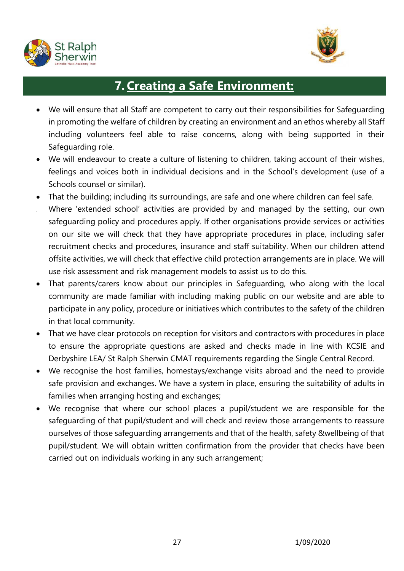



# **7.Creating a Safe Environment:**

- We will ensure that all Staff are competent to carry out their responsibilities for Safeguarding in promoting the welfare of children by creating an environment and an ethos whereby all Staff including volunteers feel able to raise concerns, along with being supported in their Safeguarding role.
- We will endeavour to create a culture of listening to children, taking account of their wishes, feelings and voices both in individual decisions and in the School's development (use of a Schools counsel or similar).
- That the building; including its surroundings, are safe and one where children can feel safe.
- Where 'extended school' activities are provided by and managed by the setting, our own safeguarding policy and procedures apply. If other organisations provide services or activities on our site we will check that they have appropriate procedures in place, including safer recruitment checks and procedures, insurance and staff suitability. When our children attend offsite activities, we will check that effective child protection arrangements are in place. We will use risk assessment and risk management models to assist us to do this.
- That parents/carers know about our principles in Safeguarding, who along with the local community are made familiar with including making public on our website and are able to participate in any policy, procedure or initiatives which contributes to the safety of the children in that local community.
- That we have clear protocols on reception for visitors and contractors with procedures in place to ensure the appropriate questions are asked and checks made in line with KCSIE and Derbyshire LEA/ St Ralph Sherwin CMAT requirements regarding the Single Central Record.
- We recognise the host families, homestays/exchange visits abroad and the need to provide safe provision and exchanges. We have a system in place, ensuring the suitability of adults in families when arranging hosting and exchanges;
- We recognise that where our school places a pupil/student we are responsible for the safeguarding of that pupil/student and will check and review those arrangements to reassure ourselves of those safeguarding arrangements and that of the health, safety &wellbeing of that pupil/student. We will obtain written confirmation from the provider that checks have been carried out on individuals working in any such arrangement;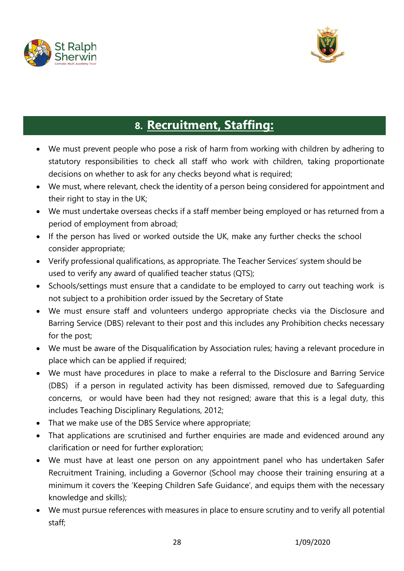



# **8. Recruitment, Staffing:**

- We must prevent people who pose a risk of harm from working with children by adhering to statutory responsibilities to check all staff who work with children, taking proportionate decisions on whether to ask for any checks beyond what is required;
- We must, where relevant, check the identity of a person being considered for appointment and their right to stay in the UK;
- We must undertake overseas checks if a staff member being employed or has returned from a period of employment from abroad;
- If the person has lived or worked outside the UK, make any further checks the school consider appropriate;
- Verify professional qualifications, as appropriate. The Teacher Services' system should be used to verify any award of qualified teacher status (QTS);
- Schools/settings must ensure that a candidate to be employed to carry out teaching work is not subject to a prohibition order issued by the Secretary of State
- We must ensure staff and volunteers undergo appropriate checks via the Disclosure and Barring Service (DBS) relevant to their post and this includes any Prohibition checks necessary for the post;
- We must be aware of the Disqualification by Association rules; having a relevant procedure in place which can be applied if required;
- We must have procedures in place to make a referral to the Disclosure and Barring Service (DBS) if a person in regulated activity has been dismissed, removed due to Safeguarding concerns, or would have been had they not resigned; aware that this is a legal duty, this includes Teaching Disciplinary Regulations, 2012;
- That we make use of the DBS Service where appropriate;
- That applications are scrutinised and further enquiries are made and evidenced around any clarification or need for further exploration;
- We must have at least one person on any appointment panel who has undertaken Safer Recruitment Training, including a Governor (School may choose their training ensuring at a minimum it covers the 'Keeping Children Safe Guidance', and equips them with the necessary knowledge and skills);
- We must pursue references with measures in place to ensure scrutiny and to verify all potential staff;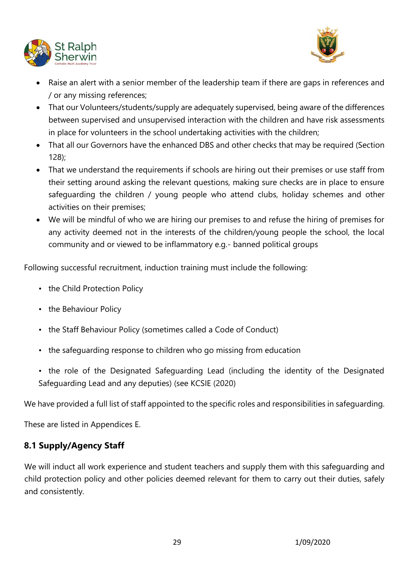



- Raise an alert with a senior member of the leadership team if there are gaps in references and / or any missing references;
- That our Volunteers/students/supply are adequately supervised, being aware of the differences between supervised and unsupervised interaction with the children and have risk assessments in place for volunteers in the school undertaking activities with the children;
- That all our Governors have the enhanced DBS and other checks that may be required (Section 128);
- That we understand the requirements if schools are hiring out their premises or use staff from their setting around asking the relevant questions, making sure checks are in place to ensure safeguarding the children / young people who attend clubs, holiday schemes and other activities on their premises;
- We will be mindful of who we are hiring our premises to and refuse the hiring of premises for any activity deemed not in the interests of the children/young people the school, the local community and or viewed to be inflammatory e.g.- banned political groups

Following successful recruitment, induction training must include the following:

- the Child Protection Policy
- the Behaviour Policy
- the Staff Behaviour Policy (sometimes called a Code of Conduct)
- the safeguarding response to children who go missing from education
- the role of the Designated Safeguarding Lead (including the identity of the Designated Safeguarding Lead and any deputies) (see KCSIE (2020)

We have provided a full list of staff appointed to the specific roles and responsibilities in safeguarding.

These are listed in Appendices E.

# **8.1 Supply/Agency Staff**

We will induct all work experience and student teachers and supply them with this safeguarding and child protection policy and other policies deemed relevant for them to carry out their duties, safely and consistently.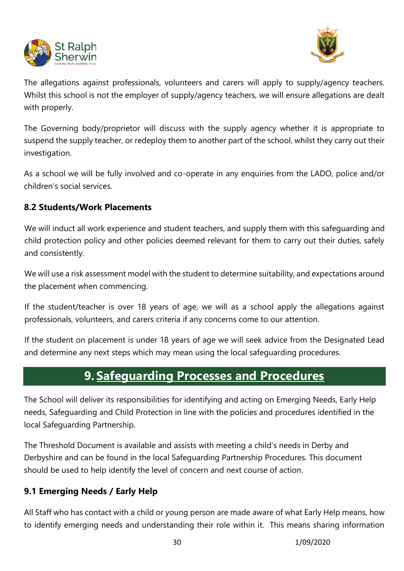



The allegations against professionals, volunteers and carers will apply to supply/agency teachers. Whilst this school is not the employer of supply/agency teachers, we will ensure allegations are dealt with properly.

The Governing body/proprietor will discuss with the supply agency whether it is appropriate to suspend the supply teacher, or redeploy them to another part of the school, whilst they carry out their investigation.

As a school we will be fully involved and co-operate in any enquiries from the LADO, police and/or children's social services.

# **8.2 Students/Work Placements**

We will induct all work experience and student teachers, and supply them with this safeguarding and child protection policy and other policies deemed relevant for them to carry out their duties, safely and consistently.

We will use a risk assessment model with the student to determine suitability, and expectations around the placement when commencing.

If the student/teacher is over 18 years of age, we will as a school apply the allegations against professionals, volunteers, and carers criteria if any concerns come to our attention.

If the student on placement is under 18 years of age we will seek advice from the Designated Lead and determine any next steps which may mean using the local safeguarding procedures.

# **9. Safeguarding Processes and Procedures**

The School will deliver its responsibilities for identifying and acting on Emerging Needs, Early Help needs, Safeguarding and Child Protection in line with the policies and procedures identified in the local Safeguarding Partnership.

The Threshold Document is available and assists with meeting a child's needs in Derby and Derbyshire and can be found in the local Safeguarding Partnership Procedures. This document should be used to help identify the level of concern and next course of action.

# **9.1 Emerging Needs / Early Help**

All Staff who has contact with a child or young person are made aware of what Early Help means, how to identify emerging needs and understanding their role within it. This means sharing information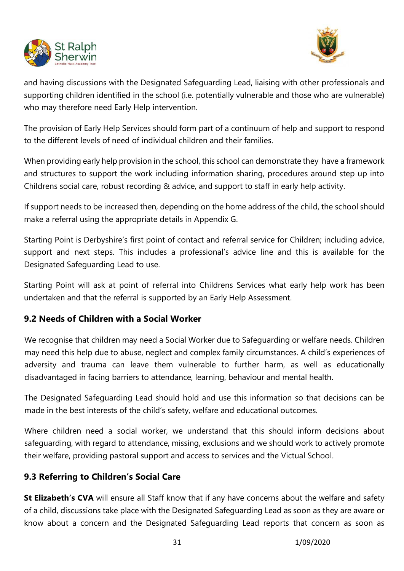



and having discussions with the Designated Safeguarding Lead, liaising with other professionals and supporting children identified in the school (i.e. potentially vulnerable and those who are vulnerable) who may therefore need Early Help intervention.

The provision of Early Help Services should form part of a continuum of help and support to respond to the different levels of need of individual children and their families.

When providing early help provision in the school, this school can demonstrate they have a framework and structures to support the work including information sharing, procedures around step up into Childrens social care, robust recording & advice, and support to staff in early help activity.

If support needs to be increased then, depending on the home address of the child, the school should make a referral using the appropriate details in Appendix G.

Starting Point is Derbyshire's first point of contact and referral service for Children; including advice, support and next steps. This includes a professional's advice line and this is available for the Designated Safeguarding Lead to use.

Starting Point will ask at point of referral into Childrens Services what early help work has been undertaken and that the referral is supported by an Early Help Assessment.

# **9.2 Needs of Children with a Social Worker**

We recognise that children may need a Social Worker due to Safeguarding or welfare needs. Children may need this help due to abuse, neglect and complex family circumstances. A child's experiences of adversity and trauma can leave them vulnerable to further harm, as well as educationally disadvantaged in facing barriers to attendance, learning, behaviour and mental health.

The Designated Safeguarding Lead should hold and use this information so that decisions can be made in the best interests of the child's safety, welfare and educational outcomes.

Where children need a social worker, we understand that this should inform decisions about safeguarding, with regard to attendance, missing, exclusions and we should work to actively promote their welfare, providing pastoral support and access to services and the Victual School.

# **9.3 Referring to Children's Social Care**

**St Elizabeth's CVA** will ensure all Staff know that if any have concerns about the welfare and safety of a child, discussions take place with the Designated Safeguarding Lead as soon as they are aware or know about a concern and the Designated Safeguarding Lead reports that concern as soon as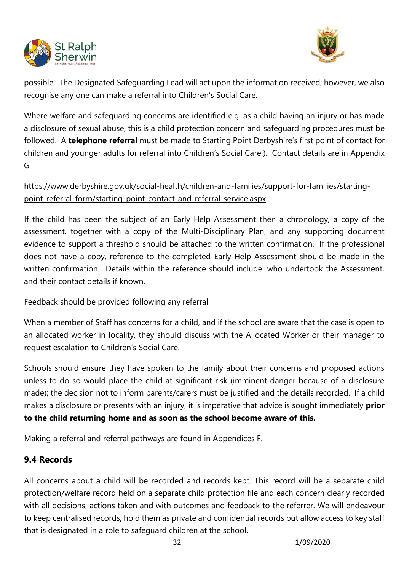



possible. The Designated Safeguarding Lead will act upon the information received; however, we also recognise any one can make a referral into Children's Social Care.

Where welfare and safeguarding concerns are identified e.g. as a child having an injury or has made a disclosure of sexual abuse, this is a child protection concern and safeguarding procedures must be followed. A **telephone referral** must be made to Starting Point Derbyshire's first point of contact for children and younger adults for referral into Children's Social Care:). Contact details are in Appendix G

# [https://www.derbyshire.gov.uk/social-health/children-and-families/support-for-families/starting](https://www.derbyshire.gov.uk/social-health/children-and-families/support-for-families/starting-point-referral-form/starting-point-contact-and-referral-service.aspx)[point-referral-form/starting-point-contact-and-referral-service.aspx](https://www.derbyshire.gov.uk/social-health/children-and-families/support-for-families/starting-point-referral-form/starting-point-contact-and-referral-service.aspx)

If the child has been the subject of an Early Help Assessment then a chronology, a copy of the assessment, together with a copy of the Multi-Disciplinary Plan, and any supporting document evidence to support a threshold should be attached to the written confirmation. If the professional does not have a copy, reference to the completed Early Help Assessment should be made in the written confirmation. Details within the reference should include: who undertook the Assessment, and their contact details if known.

Feedback should be provided following any referral

When a member of Staff has concerns for a child, and if the school are aware that the case is open to an allocated worker in locality, they should discuss with the Allocated Worker or their manager to request escalation to Children's Social Care.

Schools should ensure they have spoken to the family about their concerns and proposed actions unless to do so would place the child at significant risk (imminent danger because of a disclosure made); the decision not to inform parents/carers must be justified and the details recorded. If a child makes a disclosure or presents with an injury, it is imperative that advice is sought immediately **prior to the child returning home and as soon as the school become aware of this.** 

Making a referral and referral pathways are found in Appendices F.

# **9.4 Records**

All concerns about a child will be recorded and records kept. This record will be a separate child protection/welfare record held on a separate child protection file and each concern clearly recorded with all decisions, actions taken and with outcomes and feedback to the referrer. We will endeavour to keep centralised records, hold them as private and confidential records but allow access to key staff that is designated in a role to safeguard children at the school.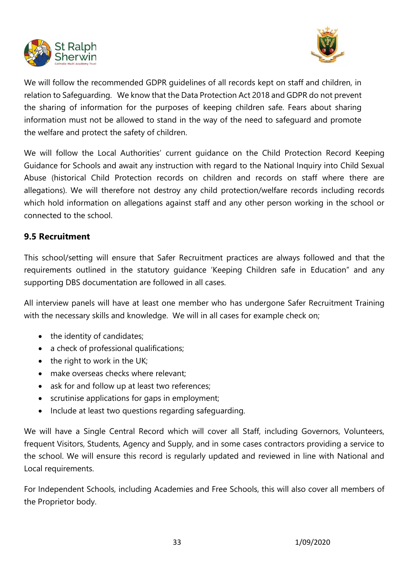



We will follow the recommended GDPR guidelines of all records kept on staff and children, in relation to Safeguarding. We know that the Data Protection Act 2018 and GDPR do not prevent the sharing of information for the purposes of keeping children safe. Fears about sharing information must not be allowed to stand in the way of the need to safeguard and promote the welfare and protect the safety of children.

We will follow the Local Authorities' current guidance on the Child Protection Record Keeping Guidance for Schools and await any instruction with regard to the National Inquiry into Child Sexual Abuse (historical Child Protection records on children and records on staff where there are allegations). We will therefore not destroy any child protection/welfare records including records which hold information on allegations against staff and any other person working in the school or connected to the school.

# **9.5 Recruitment**

This school/setting will ensure that Safer Recruitment practices are always followed and that the requirements outlined in the statutory guidance 'Keeping Children safe in Education" and any supporting DBS documentation are followed in all cases.

All interview panels will have at least one member who has undergone Safer Recruitment Training with the necessary skills and knowledge. We will in all cases for example check on;

- the identity of candidates;
- a check of professional qualifications;
- the right to work in the UK;
- make overseas checks where relevant;
- ask for and follow up at least two references:
- scrutinise applications for gaps in employment;
- Include at least two questions regarding safeguarding.

We will have a Single Central Record which will cover all Staff, including Governors, Volunteers, frequent Visitors, Students, Agency and Supply, and in some cases contractors providing a service to the school. We will ensure this record is regularly updated and reviewed in line with National and Local requirements.

For Independent Schools, including Academies and Free Schools, this will also cover all members of the Proprietor body.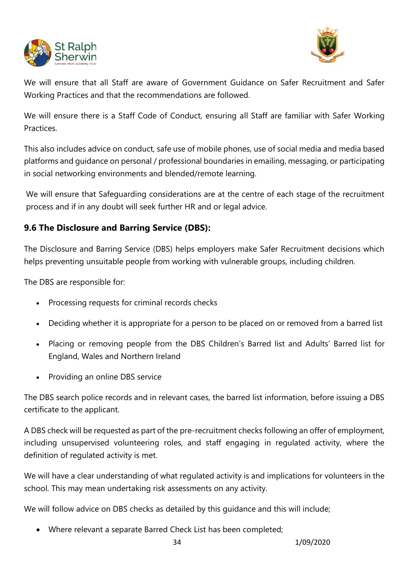



We will ensure that all Staff are aware of Government Guidance on Safer Recruitment and Safer Working Practices and that the recommendations are followed.

We will ensure there is a Staff Code of Conduct, ensuring all Staff are familiar with Safer Working Practices.

This also includes advice on conduct, safe use of mobile phones, use of social media and media based platforms and guidance on personal / professional boundaries in emailing, messaging, or participating in social networking environments and blended/remote learning.

We will ensure that Safeguarding considerations are at the centre of each stage of the recruitment process and if in any doubt will seek further HR and or legal advice.

# **9.6 The Disclosure and Barring Service (DBS):**

The Disclosure and Barring Service (DBS) helps employers make Safer Recruitment decisions which helps preventing unsuitable people from working with vulnerable groups, including children.

The DBS are responsible for:

- Processing requests for criminal records checks
- Deciding whether it is appropriate for a person to be placed on or removed from a barred list
- Placing or removing people from the DBS Children's Barred list and Adults' Barred list for England, Wales and Northern Ireland
- Providing an online DBS service

The DBS search police records and in relevant cases, the barred list information, before issuing a DBS certificate to the applicant.

A DBS check will be requested as part of the pre-recruitment checks following an offer of employment, including unsupervised volunteering roles, and staff engaging in regulated activity, where the definition of regulated activity is met.

We will have a clear understanding of what regulated activity is and implications for volunteers in the school. This may mean undertaking risk assessments on any activity.

We will follow advice on DBS checks as detailed by this guidance and this will include;

• Where relevant a separate Barred Check List has been completed;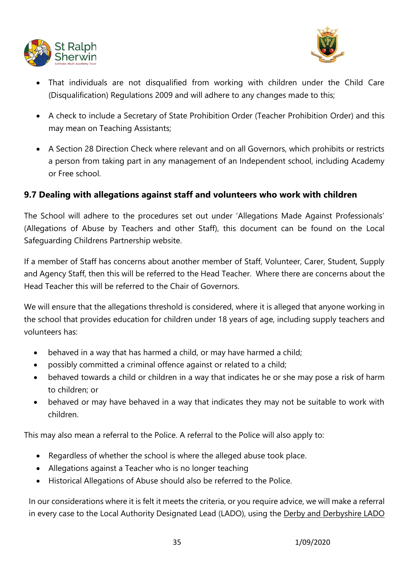



- That individuals are not disqualified from working with children under the Child Care (Disqualification) Regulations 2009 and will adhere to any changes made to this;
- A check to include a Secretary of State Prohibition Order (Teacher Prohibition Order) and this may mean on Teaching Assistants;
- A Section 28 Direction Check where relevant and on all Governors, which prohibits or restricts a person from taking part in any management of an Independent school, including Academy or Free school.

# **9.7 Dealing with allegations against staff and volunteers who work with children**

The School will adhere to the procedures set out under 'Allegations Made Against Professionals' (Allegations of Abuse by Teachers and other Staff), this document can be found on the Local Safeguarding Childrens Partnership website.

If a member of Staff has concerns about another member of Staff, Volunteer, Carer, Student, Supply and Agency Staff, then this will be referred to the Head Teacher. Where there are concerns about the Head Teacher this will be referred to the Chair of Governors.

We will ensure that the allegations threshold is considered, where it is alleged that anyone working in the school that provides education for children under 18 years of age, including supply teachers and volunteers has:

- behaved in a way that has harmed a child, or may have harmed a child;
- possibly committed a criminal offence against or related to a child;
- behaved towards a child or children in a way that indicates he or she may pose a risk of harm to children; or
- behaved or may have behaved in a way that indicates they may not be suitable to work with children.

This may also mean a referral to the Police. A referral to the Police will also apply to:

- Regardless of whether the school is where the alleged abuse took place.
- Allegations against a Teacher who is no longer teaching
- Historical Allegations of Abuse should also be referred to the Police.

In our considerations where it is felt it meets the criteria, or you require advice, we will make a referral in every case to the Local Authority Designated Lead (LADO), using the [Derby and Derbyshire LADO](http://www.proceduresonline.com/derbyshire/scbs/user_controlled_lcms_area/uploaded_files/Derby%20and%20Derbyshire%20LADO%20referral%20form%20FINAL%20March%202017.docx)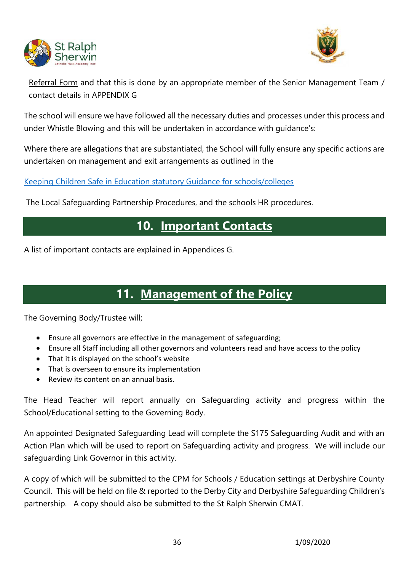



[Referral Form](http://www.proceduresonline.com/derbyshire/scbs/user_controlled_lcms_area/uploaded_files/Derby%20and%20Derbyshire%20LADO%20referral%20form%20FINAL%20March%202017.docx) and that this is done by an appropriate member of the Senior Management Team / contact details in APPENDIX G

The school will ensure we have followed all the necessary duties and processes under this process and under Whistle Blowing and this will be undertaken in accordance with guidance's:

Where there are allegations that are substantiated, the School will fully ensure any specific actions are undertaken on management and exit arrangements as outlined in the

[Keeping Children Safe in Education statutory Guidance for schools/colleges](https://www.gov.uk/government/publications/keeping-children-safe-in-education--2)

The Local Safeguarding Partnership Procedures, and the schools HR procedures.

# **10. Important Contacts**

A list of important contacts are explained in Appendices G.

# **11. Management of the Policy**

The Governing Body/Trustee will;

- Ensure all governors are effective in the management of safeguarding;
- Ensure all Staff including all other governors and volunteers read and have access to the policy
- That it is displayed on the school's website
- That is overseen to ensure its implementation
- Review its content on an annual basis.

The Head Teacher will report annually on Safeguarding activity and progress within the School/Educational setting to the Governing Body.

An appointed Designated Safeguarding Lead will complete the S175 Safeguarding Audit and with an Action Plan which will be used to report on Safeguarding activity and progress. We will include our safeguarding Link Governor in this activity.

A copy of which will be submitted to the CPM for Schools / Education settings at Derbyshire County Council. This will be held on file & reported to the Derby City and Derbyshire Safeguarding Children's partnership. A copy should also be submitted to the St Ralph Sherwin CMAT.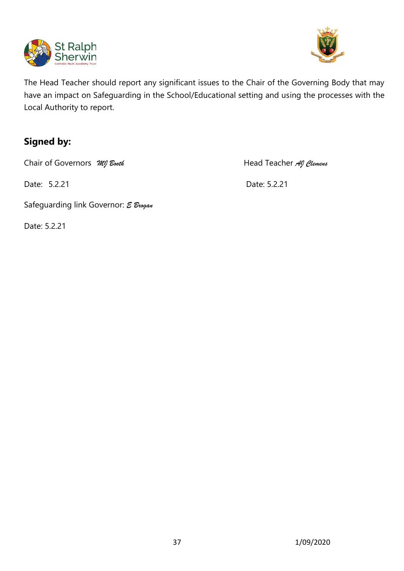



The Head Teacher should report any significant issues to the Chair of the Governing Body that may have an impact on Safeguarding in the School/Educational setting and using the processes with the Local Authority to report.

# **Signed by:**

Chair of Governors *MI Booth* **Head Teacher** *AI Clemens* 

Date: 5.2.21 Date: 5.2.21

Safeguarding link Governor: *E Brogan*

Date: 5.2.21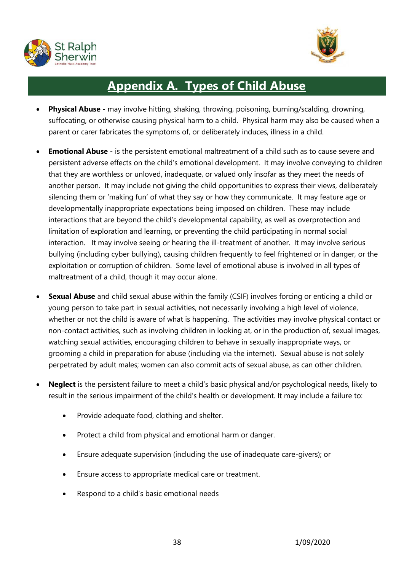



# **Appendix A. Types of Child Abuse**

- **Physical Abuse -** may involve hitting, shaking, throwing, poisoning, burning/scalding, drowning, suffocating, or otherwise causing physical harm to a child. Physical harm may also be caused when a parent or carer fabricates the symptoms of, or deliberately induces, illness in a child.
- **Emotional Abuse -** is the persistent emotional maltreatment of a child such as to cause severe and persistent adverse effects on the child's emotional development. It may involve conveying to children that they are worthless or unloved, inadequate, or valued only insofar as they meet the needs of another person. It may include not giving the child opportunities to express their views, deliberately silencing them or 'making fun' of what they say or how they communicate. It may feature age or developmentally inappropriate expectations being imposed on children. These may include interactions that are beyond the child's developmental capability, as well as overprotection and limitation of exploration and learning, or preventing the child participating in normal social interaction. It may involve seeing or hearing the ill-treatment of another. It may involve serious bullying (including cyber bullying), causing children frequently to feel frightened or in danger, or the exploitation or corruption of children. Some level of emotional abuse is involved in all types of maltreatment of a child, though it may occur alone.
- **Sexual Abuse** and child sexual abuse within the family (CSIF) involves forcing or enticing a child or young person to take part in sexual activities, not necessarily involving a high level of violence, whether or not the child is aware of what is happening. The activities may involve physical contact or non-contact activities, such as involving children in looking at, or in the production of, sexual images, watching sexual activities, encouraging children to behave in sexually inappropriate ways, or grooming a child in preparation for abuse (including via the internet). Sexual abuse is not solely perpetrated by adult males; women can also commit acts of sexual abuse, as can other children.
- **Neglect** is the persistent failure to meet a child's basic physical and/or psychological needs, likely to result in the serious impairment of the child's health or development. It may include a failure to:
	- Provide adequate food, clothing and shelter.
	- Protect a child from physical and emotional harm or danger.
	- Ensure adequate supervision (including the use of inadequate care-givers); or
	- Ensure access to appropriate medical care or treatment.
	- Respond to a child's basic emotional needs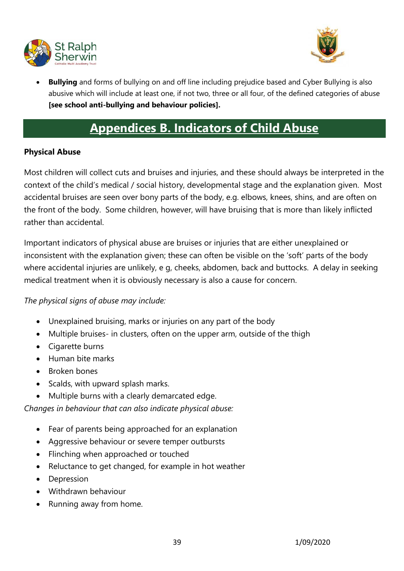



• **Bullying** and forms of bullying on and off line including prejudice based and Cyber Bullying is also abusive which will include at least one, if not two, three or all four, of the defined categories of abuse **[see school anti-bullying and behaviour policies].**

# **Appendices B. Indicators of Child Abuse**

### **Physical Abuse**

Most children will collect cuts and bruises and injuries, and these should always be interpreted in the context of the child's medical / social history, developmental stage and the explanation given. Most accidental bruises are seen over bony parts of the body, e.g. elbows, knees, shins, and are often on the front of the body. Some children, however, will have bruising that is more than likely inflicted rather than accidental.

Important indicators of physical abuse are bruises or injuries that are either unexplained or inconsistent with the explanation given; these can often be visible on the 'soft' parts of the body where accidental injuries are unlikely, e g, cheeks, abdomen, back and buttocks. A delay in seeking medical treatment when it is obviously necessary is also a cause for concern.

*The physical signs of abuse may include:* 

- Unexplained bruising, marks or injuries on any part of the body
- Multiple bruises- in clusters, often on the upper arm, outside of the thigh
- Cigarette burns
- Human bite marks
- Broken bones
- Scalds, with upward splash marks.
- Multiple burns with a clearly demarcated edge.

*Changes in behaviour that can also indicate physical abuse:* 

- Fear of parents being approached for an explanation
- Aggressive behaviour or severe temper outbursts
- Flinching when approached or touched
- Reluctance to get changed, for example in hot weather
- Depression
- Withdrawn behaviour
- Running away from home.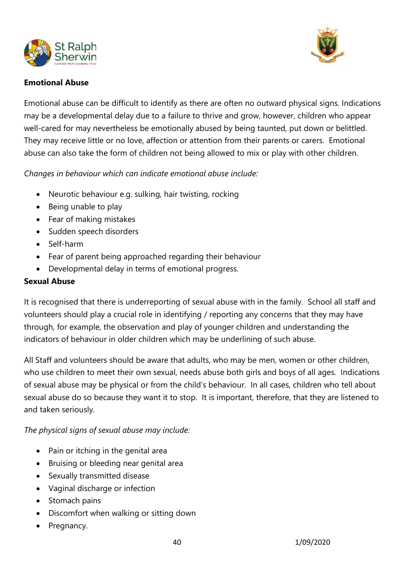



### **Emotional Abuse**

Emotional abuse can be difficult to identify as there are often no outward physical signs. Indications may be a developmental delay due to a failure to thrive and grow, however, children who appear well-cared for may nevertheless be emotionally abused by being taunted, put down or belittled. They may receive little or no love, affection or attention from their parents or carers. Emotional abuse can also take the form of children not being allowed to mix or play with other children.

*Changes in behaviour which can indicate emotional abuse include:* 

- Neurotic behaviour e.g. sulking, hair twisting, rocking
- Being unable to play
- Fear of making mistakes
- Sudden speech disorders
- Self-harm
- Fear of parent being approached regarding their behaviour
- Developmental delay in terms of emotional progress.

# **Sexual Abuse**

It is recognised that there is underreporting of sexual abuse with in the family. School all staff and volunteers should play a crucial role in identifying / reporting any concerns that they may have through, for example, the observation and play of younger children and understanding the indicators of behaviour in older children which may be underlining of such abuse.

All Staff and volunteers should be aware that adults, who may be men, women or other children, who use children to meet their own sexual, needs abuse both girls and boys of all ages. Indications of sexual abuse may be physical or from the child's behaviour. In all cases, children who tell about sexual abuse do so because they want it to stop. It is important, therefore, that they are listened to and taken seriously.

*The physical signs of sexual abuse may include:* 

- Pain or itching in the genital area
- Bruising or bleeding near genital area
- Sexually transmitted disease
- Vaginal discharge or infection
- Stomach pains
- Discomfort when walking or sitting down
- Pregnancy.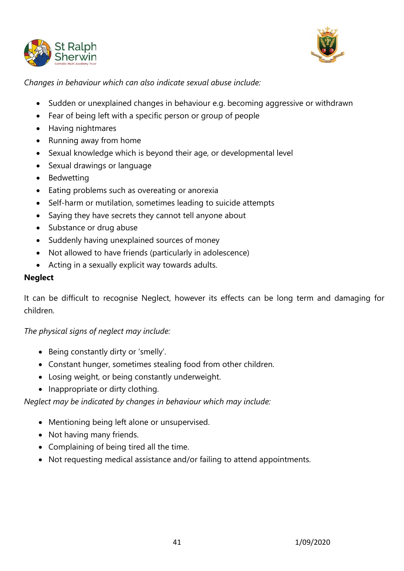



*Changes in behaviour which can also indicate sexual abuse include:* 

- Sudden or unexplained changes in behaviour e.g. becoming aggressive or withdrawn
- Fear of being left with a specific person or group of people
- Having nightmares
- Running away from home
- Sexual knowledge which is beyond their age, or developmental level
- Sexual drawings or language
- Bedwetting
- Eating problems such as overeating or anorexia
- Self-harm or mutilation, sometimes leading to suicide attempts
- Saying they have secrets they cannot tell anyone about
- Substance or drug abuse
- Suddenly having unexplained sources of money
- Not allowed to have friends (particularly in adolescence)
- Acting in a sexually explicit way towards adults.

### **Neglect**

It can be difficult to recognise Neglect, however its effects can be long term and damaging for children.

# *The physical signs of neglect may include:*

- Being constantly dirty or 'smelly'.
- Constant hunger, sometimes stealing food from other children.
- Losing weight, or being constantly underweight.
- Inappropriate or dirty clothing.

# *Neglect may be indicated by changes in behaviour which may include:*

- Mentioning being left alone or unsupervised.
- Not having many friends.
- Complaining of being tired all the time.
- Not requesting medical assistance and/or failing to attend appointments.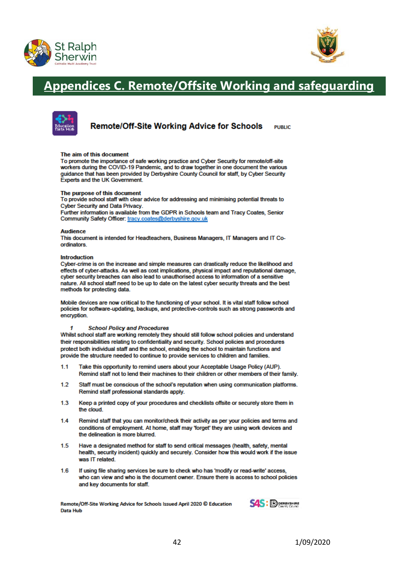



# **Appendices C. Remote/Offsite Working and safeguarding**



**Remote/Off-Site Working Advice for Schools DUDLIC** 

#### The aim of this document

To promote the importance of safe working practice and Cyber Security for remote/off-site workers during the COVID-19 Pandemic, and to draw together in one document the various quidance that has been provided by Derbyshire County Council for staff, by Cyber Security Experts and the UK Government.

#### The purpose of this document

To provide school staff with clear advice for addressing and minimising potential threats to **Cyber Security and Data Privacy.** 

Further information is available from the GDPR in Schools team and Tracy Coates. Senior Community Safety Officer: tracy.coates@derbyshire.gov.uk

#### **Audience**

This document is intended for Headteachers, Business Managers, IT Managers and IT Coordinators

#### **Introduction**

Cyber-crime is on the increase and simple measures can drastically reduce the likelihood and effects of cyber-attacks. As well as cost implications, physical impact and reputational damage, cyber security breaches can also lead to unauthorised access to information of a sensitive nature. All school staff need to be up to date on the latest cyber security threats and the best methods for protecting data.

Mobile devices are now critical to the functioning of your school. It is vital staff follow school policies for software-updating, backups, and protective-controls such as strong passwords and encryption.

#### **School Policy and Procedures** 1

Whilst school staff are working remotely they should still follow school policies and understand their responsibilities relating to confidentiality and security. School policies and procedures protect both individual staff and the school, enabling the school to maintain functions and provide the structure needed to continue to provide services to children and families.

- $1.1$ Take this opportunity to remind users about your Acceptable Usage Policy (AUP). Remind staff not to lend their machines to their children or other members of their family.
- $12$ Staff must be conscious of the school's reputation when using communication platforms. Remind staff professional standards apply.
- $1.3$ Keep a printed copy of your procedures and checklists offsite or securely store them in the cloud.
- $1.4$ Remind staff that you can monitor/check their activity as per your policies and terms and conditions of employment. At home, staff may 'forget' they are using work devices and the delineation is more blurred.
- $1.5$ Have a designated method for staff to send critical messages (health, safety, mental health, security incident) quickly and securely. Consider how this would work if the issue was IT related
- 1.6 If using file sharing services be sure to check who has 'modify or read-write' access, who can view and who is the document owner. Ensure there is access to school policies and key documents for staff.

Remote/Off-Site Working Advice for Schools Issued April 2020 © Education **Data Hub** 

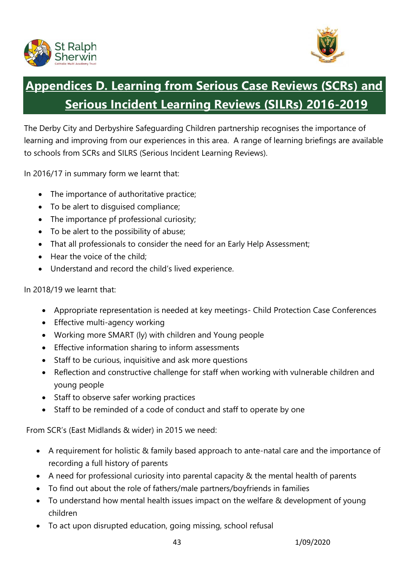



# **Appendices D. Learning from Serious Case Reviews (SCRs) and Serious Incident Learning Reviews (SILRs) 2016-2019**

The Derby City and Derbyshire Safeguarding Children partnership recognises the importance of learning and improving from our experiences in this area. A range of learning briefings are available to schools from SCRs and SILRS (Serious Incident Learning Reviews).

In 2016/17 in summary form we learnt that:

- The importance of authoritative practice;
- To be alert to disguised compliance;
- The importance pf professional curiosity;
- To be alert to the possibility of abuse;
- That all professionals to consider the need for an Early Help Assessment;
- Hear the voice of the child:
- Understand and record the child's lived experience.

In 2018/19 we learnt that:

- Appropriate representation is needed at key meetings- Child Protection Case Conferences
- Effective multi-agency working
- Working more SMART (ly) with children and Young people
- Effective information sharing to inform assessments
- Staff to be curious, inquisitive and ask more questions
- Reflection and constructive challenge for staff when working with vulnerable children and young people
- Staff to observe safer working practices
- Staff to be reminded of a code of conduct and staff to operate by one

From SCR's (East Midlands & wider) in 2015 we need:

- A requirement for holistic & family based approach to ante-natal care and the importance of recording a full history of parents
- A need for professional curiosity into parental capacity & the mental health of parents
- To find out about the role of fathers/male partners/boyfriends in families
- To understand how mental health issues impact on the welfare & development of young children
- To act upon disrupted education, going missing, school refusal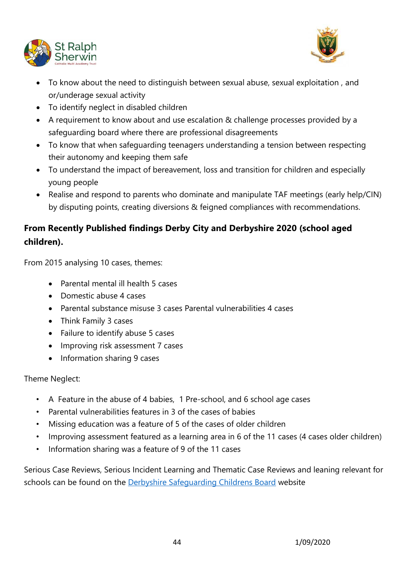



- To know about the need to distinguish between sexual abuse, sexual exploitation , and or/underage sexual activity
- To identify neglect in disabled children
- A requirement to know about and use escalation & challenge processes provided by a safeguarding board where there are professional disagreements
- To know that when safeguarding teenagers understanding a tension between respecting their autonomy and keeping them safe
- To understand the impact of bereavement, loss and transition for children and especially young people
- Realise and respond to parents who dominate and manipulate TAF meetings (early help/CIN) by disputing points, creating diversions & feigned compliances with recommendations.

# **From Recently Published findings Derby City and Derbyshire 2020 (school aged children).**

From 2015 analysing 10 cases, themes:

- Parental mental ill health 5 cases
- Domestic abuse 4 cases
- Parental substance misuse 3 cases Parental vulnerabilities 4 cases
- Think Family 3 cases
- Failure to identify abuse 5 cases
- Improving risk assessment 7 cases
- Information sharing 9 cases

Theme Neglect:

- A Feature in the abuse of 4 babies, 1 Pre-school, and 6 school age cases
- Parental vulnerabilities features in 3 of the cases of babies
- Missing education was a feature of 5 of the cases of older children
- Improving assessment featured as a learning area in 6 of the 11 cases (4 cases older children)
- Information sharing was a feature of 9 of the 11 cases

Serious Case Reviews, Serious Incident Learning and Thematic Case Reviews and leaning relevant for schools can be found on the [Derbyshire Safeguarding Childrens Board](http://www.derbyshirescb.org.uk/professionals/serious-case-reviews/default.asp) website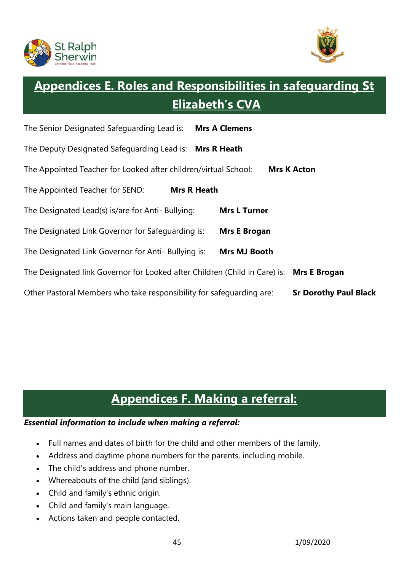



# **Appendices E. Roles and Responsibilities in safeguarding St Elizabeth's CVA**

| The Senior Designated Safeguarding Lead is:                                | <b>Mrs A Clemens</b>         |
|----------------------------------------------------------------------------|------------------------------|
| The Deputy Designated Safequarding Lead is: Mrs R Heath                    |                              |
| The Appointed Teacher for Looked after children/virtual School:            | <b>Mrs K Acton</b>           |
| The Appointed Teacher for SEND:                                            | <b>Mrs R Heath</b>           |
| The Designated Lead(s) is/are for Anti- Bullying:                          | <b>Mrs L Turner</b>          |
| The Designated Link Governor for Safeguarding is:                          | <b>Mrs E Brogan</b>          |
| The Designated Link Governor for Anti- Bullying is:                        | <b>Mrs MJ Booth</b>          |
| The Designated link Governor for Looked after Children (Child in Care) is: | <b>Mrs E Brogan</b>          |
| Other Pastoral Members who take responsibility for safeguarding are:       | <b>Sr Dorothy Paul Black</b> |

# **Appendices F. Making a referral:**

### *Essential information to include when making a referral:*

- Full names and dates of birth for the child and other members of the family.
- Address and daytime phone numbers for the parents, including mobile.
- The child's address and phone number.
- Whereabouts of the child (and siblings).
- Child and family's ethnic origin.
- Child and family's main language.
- Actions taken and people contacted.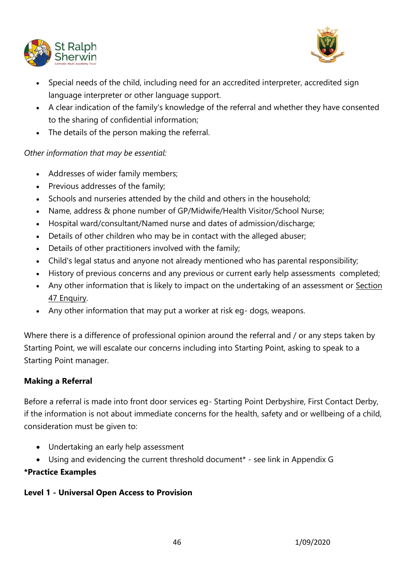



- Special needs of the child, including need for an accredited interpreter, accredited sign language interpreter or other language support.
- A clear indication of the family's knowledge of the referral and whether they have consented to the sharing of confidential information;
- The details of the person making the referral.

# *Other information that may be essential:*

- Addresses of wider family members;
- Previous addresses of the family;
- Schools and nurseries attended by the child and others in the household;
- Name, address & phone number of GP/Midwife/Health Visitor/School Nurse;
- Hospital ward/consultant/Named nurse and dates of admission/discharge;
- Details of other children who may be in contact with the alleged abuser;
- Details of other practitioners involved with the family;
- Child's legal status and anyone not already mentioned who has parental responsibility;
- History of previous concerns and any previous or current early help assessments completed;
- Any other information that is likely to impact on the undertaking of an assessment or [Section](http://trixresources.proceduresonline.com/nat_key/keywords/sec_47_enq.html)  [47 Enquiry.](http://trixresources.proceduresonline.com/nat_key/keywords/sec_47_enq.html)
- Any other information that may put a worker at risk eg- dogs, weapons.

Where there is a difference of professional opinion around the referral and / or any steps taken by Starting Point, we will escalate our concerns including into Starting Point, asking to speak to a Starting Point manager.

# **Making a Referral**

Before a referral is made into front door services eg- Starting Point Derbyshire, First Contact Derby, if the information is not about immediate concerns for the health, safety and or wellbeing of a child, consideration must be given to:

- Undertaking an early help assessment
- Using and evidencing the current threshold document\* see link in Appendix G

# **\*Practice Examples**

# **Level 1 - Universal Open Access to Provision**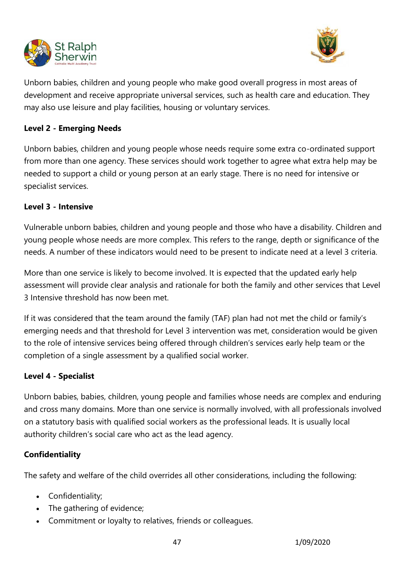



Unborn babies, children and young people who make good overall progress in most areas of development and receive appropriate universal services, such as health care and education. They may also use leisure and play facilities, housing or voluntary services.

#### **Level 2 - Emerging Needs**

Unborn babies, children and young people whose needs require some extra co-ordinated support from more than one agency. These services should work together to agree what extra help may be needed to support a child or young person at an early stage. There is no need for intensive or specialist services.

#### **Level 3 - Intensive**

Vulnerable unborn babies, children and young people and those who have a disability. Children and young people whose needs are more complex. This refers to the range, depth or significance of the needs. A number of these indicators would need to be present to indicate need at a level 3 criteria.

More than one service is likely to become involved. It is expected that the updated early help assessment will provide clear analysis and rationale for both the family and other services that Level 3 Intensive threshold has now been met.

If it was considered that the team around the family (TAF) plan had not met the child or family's emerging needs and that threshold for Level 3 intervention was met, consideration would be given to the role of intensive services being offered through children's services early help team or the completion of a single assessment by a qualified social worker.

# **Level 4 - Specialist**

Unborn babies, babies, children, young people and families whose needs are complex and enduring and cross many domains. More than one service is normally involved, with all professionals involved on a statutory basis with qualified social workers as the professional leads. It is usually local authority children's social care who act as the lead agency.

#### **Confidentiality**

The safety and welfare of the child overrides all other considerations, including the following:

- Confidentiality;
- The gathering of evidence;
- Commitment or loyalty to relatives, friends or colleagues.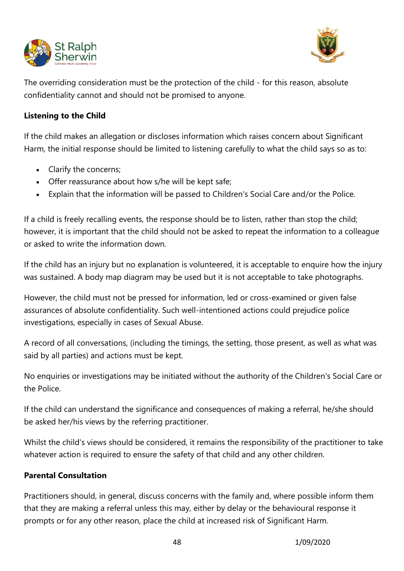



The overriding consideration must be the protection of the child - for this reason, absolute confidentiality cannot and should not be promised to anyone.

### **Listening to the Child**

If the child makes an allegation or discloses information which raises concern about Significant Harm, the initial response should be limited to listening carefully to what the child says so as to:

- Clarify the concerns;
- Offer reassurance about how s/he will be kept safe;
- Explain that the information will be passed to Children's Social Care and/or the Police.

If a child is freely recalling events, the response should be to listen, rather than stop the child; however, it is important that the child should not be asked to repeat the information to a colleague or asked to write the information down.

If the child has an injury but no explanation is volunteered, it is acceptable to enquire how the injury was sustained. A body map diagram may be used but it is not acceptable to take photographs.

However, the child must not be pressed for information, led or cross-examined or given false assurances of absolute confidentiality. Such well-intentioned actions could prejudice police investigations, especially in cases of Sexual Abuse.

A record of all conversations, (including the timings, the setting, those present, as well as what was said by all parties) and actions must be kept.

No enquiries or investigations may be initiated without the authority of the Children's Social Care or the Police.

If the child can understand the significance and consequences of making a referral, he/she should be asked her/his views by the referring practitioner.

Whilst the child's views should be considered, it remains the responsibility of the practitioner to take whatever action is required to ensure the safety of that child and any other children.

# **Parental Consultation**

Practitioners should, in general, discuss concerns with the family and, where possible inform them that they are making a referral unless this may, either by delay or the behavioural response it prompts or for any other reason, place the child at increased risk of Significant Harm.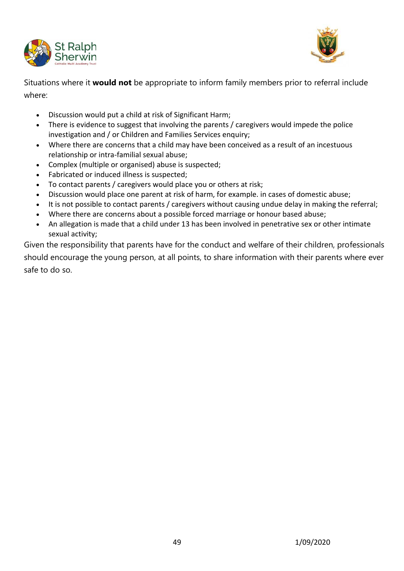



Situations where it **would not** be appropriate to inform family members prior to referral include where:

- Discussion would put a child at risk of Significant Harm;
- There is evidence to suggest that involving the parents / caregivers would impede the police investigation and / or Children and Families Services enquiry;
- Where there are concerns that a child may have been conceived as a result of an incestuous relationship or intra-familial sexual abuse;
- Complex (multiple or organised) abuse is suspected;
- Fabricated or induced illness is suspected;
- To contact parents / caregivers would place you or others at risk;
- Discussion would place one parent at risk of harm, for example. in cases of domestic abuse;
- It is not possible to contact parents / caregivers without causing undue delay in making the referral;
- Where there are concerns about a possible forced marriage or honour based abuse;
- An allegation is made that a child under 13 has been involved in penetrative sex or other intimate sexual activity;

Given the responsibility that parents have for the conduct and welfare of their children, professionals should encourage the young person, at all points, to share information with their parents where ever safe to do so.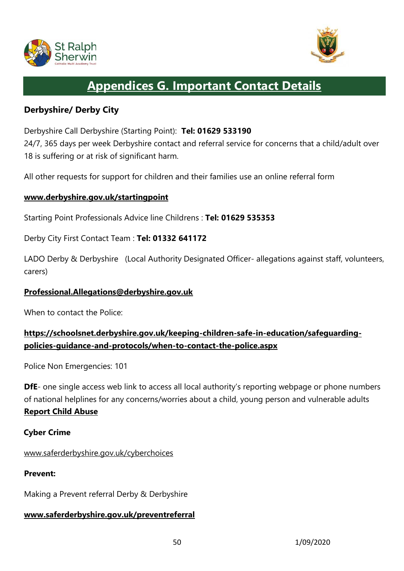



# **Appendices G. Important Contact Details**

# **Derbyshire/ Derby City**

Derbyshire Call Derbyshire (Starting Point): **Tel: 01629 533190** 24/7, 365 days per week Derbyshire contact and referral service for concerns that a child/adult over 18 is suffering or at risk of significant harm.

All other requests for support for children and their families use an online referral form

#### **[www.derbyshire.gov.uk/startingpoint](http://www.derbyshire.gov.uk/startingpoint)**

Starting Point Professionals Advice line Childrens : **Tel: 01629 535353**

Derby City First Contact Team : **Tel: 01332 641172**

LADO Derby & Derbyshire (Local Authority Designated Officer- allegations against staff, volunteers, carers)

#### **[Professional.Allegations@derbyshire.gov.uk](mailto:Professional.Allegations@derbyshire.gov.uk)**

When to contact the Police:

# **[https://schoolsnet.derbyshire.gov.uk/keeping-children-safe-in-education/safeguarding](https://schoolsnet.derbyshire.gov.uk/keeping-children-safe-in-education/safeguarding-policies-guidance-and-protocols/when-to-contact-the-police.aspx)[policies-guidance-and-protocols/when-to-contact-the-police.aspx](https://schoolsnet.derbyshire.gov.uk/keeping-children-safe-in-education/safeguarding-policies-guidance-and-protocols/when-to-contact-the-police.aspx)**

Police Non Emergencies: 101

**DfE**- one single access web link to access all local authority's reporting webpage or phone numbers of national helplines for any concerns/worries about a child, young person and vulnerable adults **[Report Child Abuse](https://www.gov.uk/report-child-abuse)**

#### **Cyber Crime**

#### www.saferderbyshire.gov.uk/cyberchoices

#### **Prevent:**

Making a Prevent referral Derby & Derbyshire

#### **www.saferderbyshire.gov.uk/preventreferral**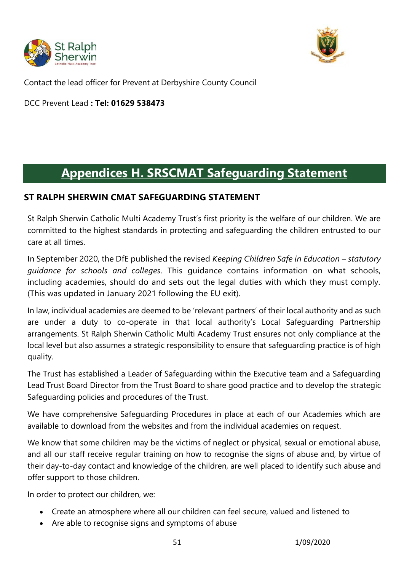



Contact the lead officer for Prevent at Derbyshire County Council

DCC Prevent Lead **: Tel: 01629 538473**

# **Appendices H. SRSCMAT Safeguarding Statement**

# **ST RALPH SHERWIN CMAT SAFEGUARDING STATEMENT**

St Ralph Sherwin Catholic Multi Academy Trust's first priority is the welfare of our children. We are committed to the highest standards in protecting and safeguarding the children entrusted to our care at all times.

In September 2020, the DfE published the revised *Keeping Children Safe in Education – statutory guidance for schools and colleges*. This guidance contains information on what schools, including academies, should do and sets out the legal duties with which they must comply. (This was updated in January 2021 following the EU exit).

In law, individual academies are deemed to be 'relevant partners' of their local authority and as such are under a duty to co-operate in that local authority's Local Safeguarding Partnership arrangements. St Ralph Sherwin Catholic Multi Academy Trust ensures not only compliance at the local level but also assumes a strategic responsibility to ensure that safeguarding practice is of high quality.

The Trust has established a Leader of Safeguarding within the Executive team and a Safeguarding Lead Trust Board Director from the Trust Board to share good practice and to develop the strategic Safeguarding policies and procedures of the Trust.

We have comprehensive Safeguarding Procedures in place at each of our Academies which are available to download from the websites and from the individual academies on request.

We know that some children may be the victims of neglect or physical, sexual or emotional abuse, and all our staff receive regular training on how to recognise the signs of abuse and, by virtue of their day-to-day contact and knowledge of the children, are well placed to identify such abuse and offer support to those children.

In order to protect our children, we:

- Create an atmosphere where all our children can feel secure, valued and listened to
- Are able to recognise signs and symptoms of abuse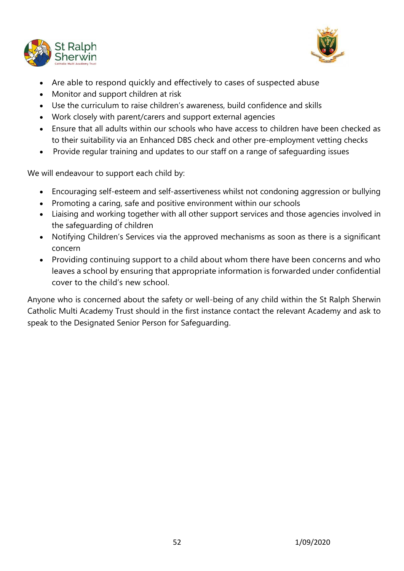



- Are able to respond quickly and effectively to cases of suspected abuse
- Monitor and support children at risk
- Use the curriculum to raise children's awareness, build confidence and skills
- Work closely with parent/carers and support external agencies
- Ensure that all adults within our schools who have access to children have been checked as to their suitability via an Enhanced DBS check and other pre-employment vetting checks
- Provide regular training and updates to our staff on a range of safeguarding issues

We will endeavour to support each child by:

- Encouraging self-esteem and self-assertiveness whilst not condoning aggression or bullying
- Promoting a caring, safe and positive environment within our schools
- Liaising and working together with all other support services and those agencies involved in the safeguarding of children
- Notifying Children's Services via the approved mechanisms as soon as there is a significant concern
- Providing continuing support to a child about whom there have been concerns and who leaves a school by ensuring that appropriate information is forwarded under confidential cover to the child's new school.

Anyone who is concerned about the safety or well-being of any child within the St Ralph Sherwin Catholic Multi Academy Trust should in the first instance contact the relevant Academy and ask to speak to the Designated Senior Person for Safeguarding.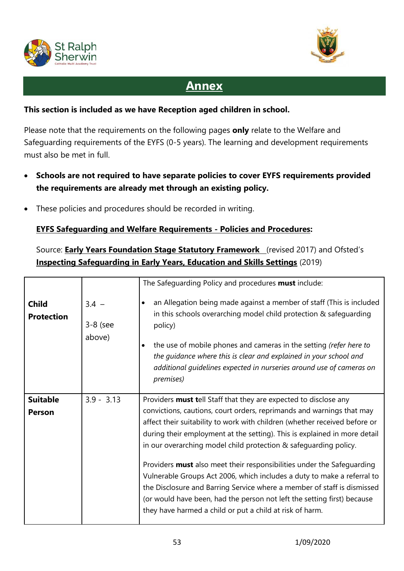



# **Annex**

#### **This section is included as we have Reception aged children in school.**

Please note that the requirements on the following pages **only** relate to the Welfare and Safeguarding requirements of the EYFS (0-5 years). The learning and development requirements must also be met in full.

- **Schools are not required to have separate policies to cover EYFS requirements provided the requirements are already met through an existing policy.**
- These policies and procedures should be recorded in writing.

# **EYFS Safeguarding and Welfare Requirements - Policies and Procedures:**

Source: **Early Years Foundation Stage Statutory Framework** (revised 2017) and Ofsted's **Inspecting Safeguarding in Early Years, Education and Skills Settings** (2019)

|                                   |                                 | The Safeguarding Policy and procedures must include:                                                                                                                                                                                                                                                                                                                                                      |
|-----------------------------------|---------------------------------|-----------------------------------------------------------------------------------------------------------------------------------------------------------------------------------------------------------------------------------------------------------------------------------------------------------------------------------------------------------------------------------------------------------|
| <b>Child</b><br><b>Protection</b> | $3.4 -$<br>$3-8$ (see<br>above) | an Allegation being made against a member of staff (This is included<br>in this schools overarching model child protection & safeguarding<br>policy)<br>the use of mobile phones and cameras in the setting (refer here to<br>$\bullet$<br>the guidance where this is clear and explained in your school and<br>additional guidelines expected in nurseries around use of cameras on<br><i>premises</i> ) |
| <b>Suitable</b>                   | $3.9 - 3.13$                    | Providers <b>must tell Staff that they are expected to disclose any</b>                                                                                                                                                                                                                                                                                                                                   |
| <b>Person</b>                     |                                 | convictions, cautions, court orders, reprimands and warnings that may<br>affect their suitability to work with children (whether received before or<br>during their employment at the setting). This is explained in more detail<br>in our overarching model child protection & safeguarding policy.                                                                                                      |
|                                   |                                 | Providers must also meet their responsibilities under the Safeguarding<br>Vulnerable Groups Act 2006, which includes a duty to make a referral to<br>the Disclosure and Barring Service where a member of staff is dismissed<br>(or would have been, had the person not left the setting first) because<br>they have harmed a child or put a child at risk of harm.                                       |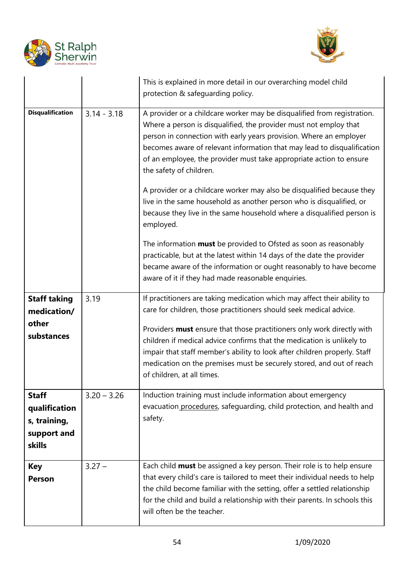



|                                                                               |               | This is explained in more detail in our overarching model child<br>protection & safeguarding policy.                                                                                                                                                                                                                                                                                                                                                                                                                                                                                                                                     |
|-------------------------------------------------------------------------------|---------------|------------------------------------------------------------------------------------------------------------------------------------------------------------------------------------------------------------------------------------------------------------------------------------------------------------------------------------------------------------------------------------------------------------------------------------------------------------------------------------------------------------------------------------------------------------------------------------------------------------------------------------------|
| <b>Disqualification</b>                                                       | $3.14 - 3.18$ | A provider or a childcare worker may be disqualified from registration.<br>Where a person is disqualified, the provider must not employ that<br>person in connection with early years provision. Where an employer<br>becomes aware of relevant information that may lead to disqualification<br>of an employee, the provider must take appropriate action to ensure<br>the safety of children.<br>A provider or a childcare worker may also be disqualified because they<br>live in the same household as another person who is disqualified, or<br>because they live in the same household where a disqualified person is<br>employed. |
|                                                                               |               | The information <b>must</b> be provided to Ofsted as soon as reasonably<br>practicable, but at the latest within 14 days of the date the provider<br>became aware of the information or ought reasonably to have become<br>aware of it if they had made reasonable enquiries.                                                                                                                                                                                                                                                                                                                                                            |
| <b>Staff taking</b><br>medication/<br>other<br>substances                     | 3.19          | If practitioners are taking medication which may affect their ability to<br>care for children, those practitioners should seek medical advice.<br>Providers must ensure that those practitioners only work directly with<br>children if medical advice confirms that the medication is unlikely to<br>impair that staff member's ability to look after children properly. Staff<br>medication on the premises must be securely stored, and out of reach<br>of children, at all times.                                                                                                                                                    |
| <b>Staff</b><br>qualification<br>s, training,<br>support and<br><b>skills</b> | $3.20 - 3.26$ | Induction training must include information about emergency<br>evacuation procedures, safeguarding, child protection, and health and<br>safety.                                                                                                                                                                                                                                                                                                                                                                                                                                                                                          |
| <b>Key</b><br><b>Person</b>                                                   | $3.27 -$      | Each child <b>must</b> be assigned a key person. Their role is to help ensure<br>that every child's care is tailored to meet their individual needs to help<br>the child become familiar with the setting, offer a settled relationship<br>for the child and build a relationship with their parents. In schools this<br>will often be the teacher.                                                                                                                                                                                                                                                                                      |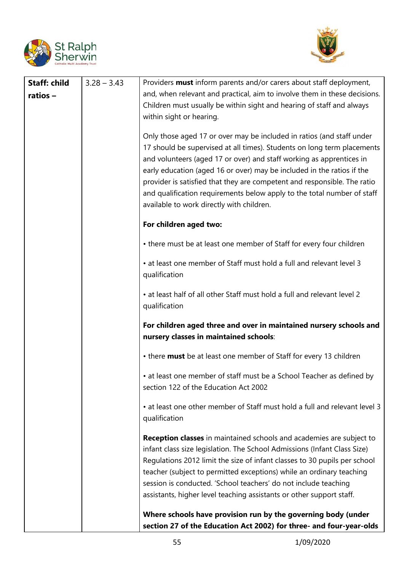



| <b>Staff: child</b><br>ratios- | $3.28 - 3.43$ | Providers <b>must</b> inform parents and/or carers about staff deployment,<br>and, when relevant and practical, aim to involve them in these decisions.<br>Children must usually be within sight and hearing of staff and always<br>within sight or hearing.                                                                                                                                                                                                                                           |
|--------------------------------|---------------|--------------------------------------------------------------------------------------------------------------------------------------------------------------------------------------------------------------------------------------------------------------------------------------------------------------------------------------------------------------------------------------------------------------------------------------------------------------------------------------------------------|
|                                |               | Only those aged 17 or over may be included in ratios (and staff under<br>17 should be supervised at all times). Students on long term placements<br>and volunteers (aged 17 or over) and staff working as apprentices in<br>early education (aged 16 or over) may be included in the ratios if the<br>provider is satisfied that they are competent and responsible. The ratio<br>and qualification requirements below apply to the total number of staff<br>available to work directly with children. |
|                                |               | For children aged two:                                                                                                                                                                                                                                                                                                                                                                                                                                                                                 |
|                                |               | • there must be at least one member of Staff for every four children                                                                                                                                                                                                                                                                                                                                                                                                                                   |
|                                |               | • at least one member of Staff must hold a full and relevant level 3<br>qualification                                                                                                                                                                                                                                                                                                                                                                                                                  |
|                                |               | • at least half of all other Staff must hold a full and relevant level 2<br>qualification                                                                                                                                                                                                                                                                                                                                                                                                              |
|                                |               | For children aged three and over in maintained nursery schools and<br>nursery classes in maintained schools:                                                                                                                                                                                                                                                                                                                                                                                           |
|                                |               | • there must be at least one member of Staff for every 13 children                                                                                                                                                                                                                                                                                                                                                                                                                                     |
|                                |               | • at least one member of staff must be a School Teacher as defined by<br>section 122 of the Education Act 2002                                                                                                                                                                                                                                                                                                                                                                                         |
|                                |               | • at least one other member of Staff must hold a full and relevant level 3<br>qualification                                                                                                                                                                                                                                                                                                                                                                                                            |
|                                |               | <b>Reception classes</b> in maintained schools and academies are subject to<br>infant class size legislation. The School Admissions (Infant Class Size)<br>Regulations 2012 limit the size of infant classes to 30 pupils per school<br>teacher (subject to permitted exceptions) while an ordinary teaching<br>session is conducted. 'School teachers' do not include teaching<br>assistants, higher level teaching assistants or other support staff.                                                |
|                                |               | Where schools have provision run by the governing body (under<br>section 27 of the Education Act 2002) for three- and four-year-olds                                                                                                                                                                                                                                                                                                                                                                   |
|                                |               |                                                                                                                                                                                                                                                                                                                                                                                                                                                                                                        |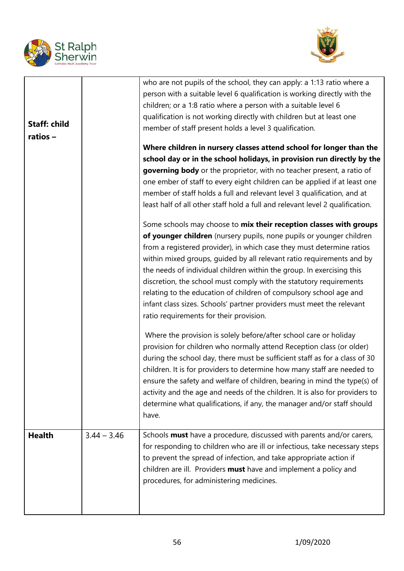



| <b>Staff: child</b><br>ratios- |               | who are not pupils of the school, they can apply: a 1:13 ratio where a<br>person with a suitable level 6 qualification is working directly with the<br>children; or a 1:8 ratio where a person with a suitable level 6<br>qualification is not working directly with children but at least one<br>member of staff present holds a level 3 qualification.<br>Where children in nursery classes attend school for longer than the<br>school day or in the school holidays, in provision run directly by the<br>governing body or the proprietor, with no teacher present, a ratio of<br>one ember of staff to every eight children can be applied if at least one<br>member of staff holds a full and relevant level 3 qualification, and at<br>least half of all other staff hold a full and relevant level 2 qualification.<br>Some schools may choose to mix their reception classes with groups<br>of younger children (nursery pupils, none pupils or younger children<br>from a registered provider), in which case they must determine ratios<br>within mixed groups, guided by all relevant ratio requirements and by<br>the needs of individual children within the group. In exercising this<br>discretion, the school must comply with the statutory requirements<br>relating to the education of children of compulsory school age and<br>infant class sizes. Schools' partner providers must meet the relevant<br>ratio requirements for their provision.<br>Where the provision is solely before/after school care or holiday<br>provision for children who normally attend Reception class (or older)<br>during the school day, there must be sufficient staff as for a class of 30<br>children. It is for providers to determine how many staff are needed to<br>ensure the safety and welfare of children, bearing in mind the type(s) of<br>activity and the age and needs of the children. It is also for providers to<br>determine what qualifications, if any, the manager and/or staff should<br>have. |
|--------------------------------|---------------|----------------------------------------------------------------------------------------------------------------------------------------------------------------------------------------------------------------------------------------------------------------------------------------------------------------------------------------------------------------------------------------------------------------------------------------------------------------------------------------------------------------------------------------------------------------------------------------------------------------------------------------------------------------------------------------------------------------------------------------------------------------------------------------------------------------------------------------------------------------------------------------------------------------------------------------------------------------------------------------------------------------------------------------------------------------------------------------------------------------------------------------------------------------------------------------------------------------------------------------------------------------------------------------------------------------------------------------------------------------------------------------------------------------------------------------------------------------------------------------------------------------------------------------------------------------------------------------------------------------------------------------------------------------------------------------------------------------------------------------------------------------------------------------------------------------------------------------------------------------------------------------------------------------------------------------------------------------------------------------------------------------------------|
| <b>Health</b>                  | $3.44 - 3.46$ | Schools must have a procedure, discussed with parents and/or carers,<br>for responding to children who are ill or infectious, take necessary steps<br>to prevent the spread of infection, and take appropriate action if<br>children are ill. Providers must have and implement a policy and                                                                                                                                                                                                                                                                                                                                                                                                                                                                                                                                                                                                                                                                                                                                                                                                                                                                                                                                                                                                                                                                                                                                                                                                                                                                                                                                                                                                                                                                                                                                                                                                                                                                                                                               |
|                                |               | procedures, for administering medicines.                                                                                                                                                                                                                                                                                                                                                                                                                                                                                                                                                                                                                                                                                                                                                                                                                                                                                                                                                                                                                                                                                                                                                                                                                                                                                                                                                                                                                                                                                                                                                                                                                                                                                                                                                                                                                                                                                                                                                                                   |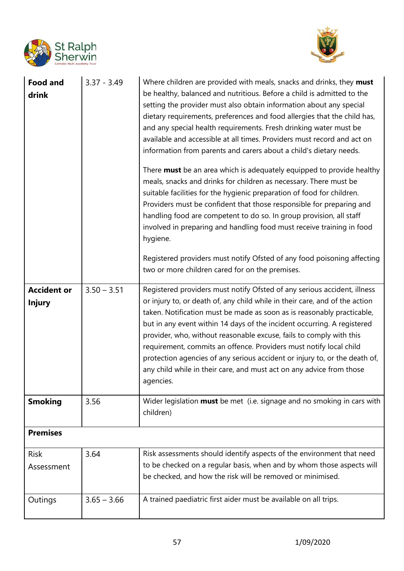



| <b>Food and</b><br>drink            | $3.37 - 3.49$ | Where children are provided with meals, snacks and drinks, they must<br>be healthy, balanced and nutritious. Before a child is admitted to the<br>setting the provider must also obtain information about any special<br>dietary requirements, preferences and food allergies that the child has,<br>and any special health requirements. Fresh drinking water must be<br>available and accessible at all times. Providers must record and act on<br>information from parents and carers about a child's dietary needs.<br>There <b>must</b> be an area which is adequately equipped to provide healthy<br>meals, snacks and drinks for children as necessary. There must be<br>suitable facilities for the hygienic preparation of food for children.<br>Providers must be confident that those responsible for preparing and<br>handling food are competent to do so. In group provision, all staff<br>involved in preparing and handling food must receive training in food<br>hygiene.<br>Registered providers must notify Ofsted of any food poisoning affecting<br>two or more children cared for on the premises. |
|-------------------------------------|---------------|--------------------------------------------------------------------------------------------------------------------------------------------------------------------------------------------------------------------------------------------------------------------------------------------------------------------------------------------------------------------------------------------------------------------------------------------------------------------------------------------------------------------------------------------------------------------------------------------------------------------------------------------------------------------------------------------------------------------------------------------------------------------------------------------------------------------------------------------------------------------------------------------------------------------------------------------------------------------------------------------------------------------------------------------------------------------------------------------------------------------------|
| <b>Accident or</b><br><b>Injury</b> | $3.50 - 3.51$ | Registered providers must notify Ofsted of any serious accident, illness<br>or injury to, or death of, any child while in their care, and of the action<br>taken. Notification must be made as soon as is reasonably practicable,<br>but in any event within 14 days of the incident occurring. A registered<br>provider, who, without reasonable excuse, fails to comply with this<br>requirement, commits an offence. Providers must notify local child<br>protection agencies of any serious accident or injury to, or the death of,<br>any child while in their care, and must act on any advice from those<br>agencies.                                                                                                                                                                                                                                                                                                                                                                                                                                                                                             |
| <b>Smoking</b>                      | 3.56          | Wider legislation <b>must</b> be met (i.e. signage and no smoking in cars with<br>children)                                                                                                                                                                                                                                                                                                                                                                                                                                                                                                                                                                                                                                                                                                                                                                                                                                                                                                                                                                                                                              |
| <b>Premises</b>                     |               |                                                                                                                                                                                                                                                                                                                                                                                                                                                                                                                                                                                                                                                                                                                                                                                                                                                                                                                                                                                                                                                                                                                          |
| <b>Risk</b><br>Assessment           | 3.64          | Risk assessments should identify aspects of the environment that need<br>to be checked on a regular basis, when and by whom those aspects will<br>be checked, and how the risk will be removed or minimised.                                                                                                                                                                                                                                                                                                                                                                                                                                                                                                                                                                                                                                                                                                                                                                                                                                                                                                             |
| Outings                             | $3.65 - 3.66$ | A trained paediatric first aider must be available on all trips.                                                                                                                                                                                                                                                                                                                                                                                                                                                                                                                                                                                                                                                                                                                                                                                                                                                                                                                                                                                                                                                         |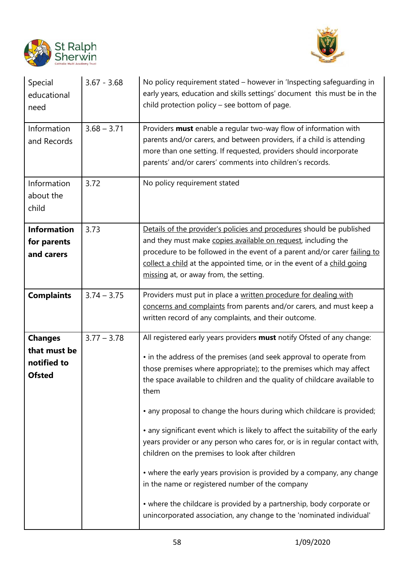



| Special<br>educational<br>need                                 | $3.67 - 3.68$ | No policy requirement stated – however in 'Inspecting safeguarding in<br>early years, education and skills settings' document this must be in the<br>child protection policy - see bottom of page.                                                                                                                                                                                                                                                                                                                                                                                                                                                                                                                                                                                                                                                                                   |
|----------------------------------------------------------------|---------------|--------------------------------------------------------------------------------------------------------------------------------------------------------------------------------------------------------------------------------------------------------------------------------------------------------------------------------------------------------------------------------------------------------------------------------------------------------------------------------------------------------------------------------------------------------------------------------------------------------------------------------------------------------------------------------------------------------------------------------------------------------------------------------------------------------------------------------------------------------------------------------------|
| Information<br>and Records                                     | $3.68 - 3.71$ | Providers must enable a regular two-way flow of information with<br>parents and/or carers, and between providers, if a child is attending<br>more than one setting. If requested, providers should incorporate<br>parents' and/or carers' comments into children's records.                                                                                                                                                                                                                                                                                                                                                                                                                                                                                                                                                                                                          |
| Information<br>about the<br>child                              | 3.72          | No policy requirement stated                                                                                                                                                                                                                                                                                                                                                                                                                                                                                                                                                                                                                                                                                                                                                                                                                                                         |
| <b>Information</b><br>for parents<br>and carers                | 3.73          | Details of the provider's policies and procedures should be published<br>and they must make copies available on request, including the<br>procedure to be followed in the event of a parent and/or carer failing to<br>collect a child at the appointed time, or in the event of a child going<br>missing at, or away from, the setting.                                                                                                                                                                                                                                                                                                                                                                                                                                                                                                                                             |
| <b>Complaints</b>                                              | $3.74 - 3.75$ | Providers must put in place a written procedure for dealing with<br>concerns and complaints from parents and/or carers, and must keep a<br>written record of any complaints, and their outcome.                                                                                                                                                                                                                                                                                                                                                                                                                                                                                                                                                                                                                                                                                      |
| <b>Changes</b><br>that must be<br>notified to<br><b>Ofsted</b> | $3.77 - 3.78$ | All registered early years providers must notify Ofsted of any change:<br>• in the address of the premises (and seek approval to operate from<br>those premises where appropriate); to the premises which may affect<br>the space available to children and the quality of childcare available to<br>them<br>• any proposal to change the hours during which childcare is provided;<br>• any significant event which is likely to affect the suitability of the early<br>years provider or any person who cares for, or is in regular contact with,<br>children on the premises to look after children<br>• where the early years provision is provided by a company, any change<br>in the name or registered number of the company<br>• where the childcare is provided by a partnership, body corporate or<br>unincorporated association, any change to the 'nominated individual' |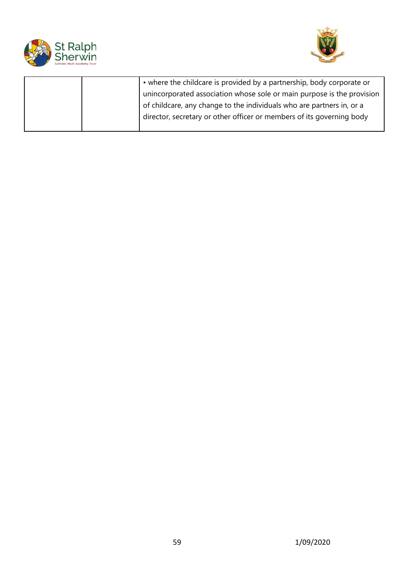



|  | • where the childcare is provided by a partnership, body corporate or  |
|--|------------------------------------------------------------------------|
|  | unincorporated association whose sole or main purpose is the provision |
|  | of childcare, any change to the individuals who are partners in, or a  |
|  | director, secretary or other officer or members of its governing body  |
|  |                                                                        |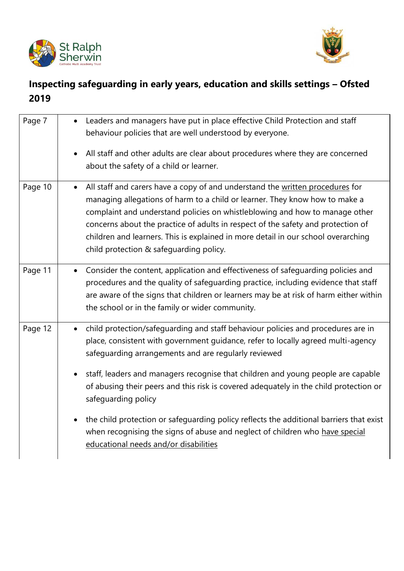



# **Inspecting safeguarding in early years, education and skills settings – Ofsted 2019**

| Page 7  | Leaders and managers have put in place effective Child Protection and staff<br>behaviour policies that are well understood by everyone.                                                                                                                                                                                                                                                                                                                                      |
|---------|------------------------------------------------------------------------------------------------------------------------------------------------------------------------------------------------------------------------------------------------------------------------------------------------------------------------------------------------------------------------------------------------------------------------------------------------------------------------------|
|         | All staff and other adults are clear about procedures where they are concerned<br>$\bullet$<br>about the safety of a child or learner.                                                                                                                                                                                                                                                                                                                                       |
| Page 10 | All staff and carers have a copy of and understand the written procedures for<br>$\bullet$<br>managing allegations of harm to a child or learner. They know how to make a<br>complaint and understand policies on whistleblowing and how to manage other<br>concerns about the practice of adults in respect of the safety and protection of<br>children and learners. This is explained in more detail in our school overarching<br>child protection & safeguarding policy. |
| Page 11 | Consider the content, application and effectiveness of safeguarding policies and<br>$\bullet$<br>procedures and the quality of safeguarding practice, including evidence that staff<br>are aware of the signs that children or learners may be at risk of harm either within<br>the school or in the family or wider community.                                                                                                                                              |
| Page 12 | child protection/safeguarding and staff behaviour policies and procedures are in<br>$\bullet$<br>place, consistent with government guidance, refer to locally agreed multi-agency<br>safeguarding arrangements and are regularly reviewed<br>staff, leaders and managers recognise that children and young people are capable<br>$\bullet$<br>of abusing their peers and this risk is covered adequately in the child protection or<br>safeguarding policy                   |
|         | the child protection or safeguarding policy reflects the additional barriers that exist<br>$\bullet$<br>when recognising the signs of abuse and neglect of children who have special<br>educational needs and/or disabilities                                                                                                                                                                                                                                                |